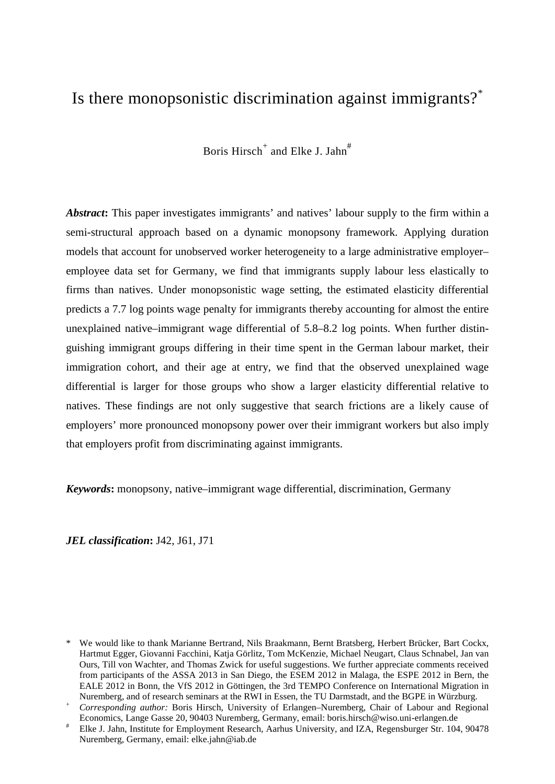# Is there monopsonistic discrimination against immigrants?\*

Boris Hirsch<sup>+</sup> and Elke J. Jahn<sup>#</sup>

*Abstract***:** This paper investigates immigrants' and natives' labour supply to the firm within a semi-structural approach based on a dynamic monopsony framework. Applying duration models that account for unobserved worker heterogeneity to a large administrative employer– employee data set for Germany, we find that immigrants supply labour less elastically to firms than natives. Under monopsonistic wage setting, the estimated elasticity differential predicts a 7.7 log points wage penalty for immigrants thereby accounting for almost the entire unexplained native–immigrant wage differential of 5.8–8.2 log points. When further distinguishing immigrant groups differing in their time spent in the German labour market, their immigration cohort, and their age at entry, we find that the observed unexplained wage differential is larger for those groups who show a larger elasticity differential relative to natives. These findings are not only suggestive that search frictions are a likely cause of employers' more pronounced monopsony power over their immigrant workers but also imply that employers profit from discriminating against immigrants.

*Keywords***:** monopsony, native–immigrant wage differential, discrimination, Germany

*JEL classification***:** J42, J61, J71

<sup>\*</sup> We would like to thank Marianne Bertrand, Nils Braakmann, Bernt Bratsberg, Herbert Brücker, Bart Cockx, Hartmut Egger, Giovanni Facchini, Katja Görlitz, Tom McKenzie, Michael Neugart, Claus Schnabel, Jan van Ours, Till von Wachter, and Thomas Zwick for useful suggestions. We further appreciate comments received from participants of the ASSA 2013 in San Diego, the ESEM 2012 in Malaga, the ESPE 2012 in Bern, the EALE 2012 in Bonn, the VfS 2012 in Göttingen, the 3rd TEMPO Conference on International Migration in Nuremberg, and of research seminars at the RWI in Essen, the TU Darmstadt, and the BGPE in Würzburg.

Corresponding author: Boris Hirsch, University of Erlangen-Nuremberg, Chair of Labour and Regional Economics, Lange Gasse 20, 90403 Nuremberg, Germany, email: boris hirsch@wiso.uni-erlangen.de

Elke J. Jahn, Institute for Employment Research, Aarhus University, and IZA, Regensburger Str. 104, 90478 Nuremberg, Germany, email: elke.jahn@iab.de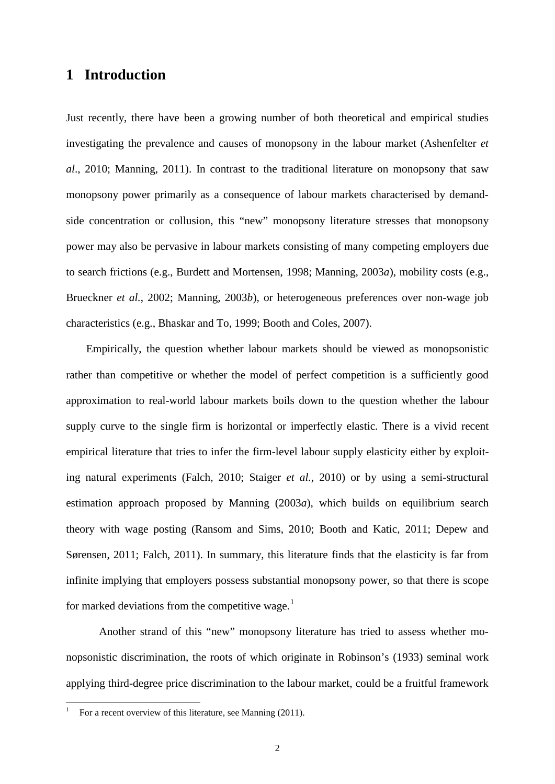## **1 Introduction**

Just recently, there have been a growing number of both theoretical and empirical studies investigating the prevalence and causes of monopsony in the labour market (Ashenfelter *et al*., 2010; Manning, 2011). In contrast to the traditional literature on monopsony that saw monopsony power primarily as a consequence of labour markets characterised by demandside concentration or collusion, this "new" monopsony literature stresses that monopsony power may also be pervasive in labour markets consisting of many competing employers due to search frictions (e.g., Burdett and Mortensen, 1998; Manning, 2003*a*), mobility costs (e.g., Brueckner *et al.*, 2002; Manning, 2003*b*), or heterogeneous preferences over non-wage job characteristics (e.g., Bhaskar and To, 1999; Booth and Coles, 2007).

Empirically, the question whether labour markets should be viewed as monopsonistic rather than competitive or whether the model of perfect competition is a sufficiently good approximation to real-world labour markets boils down to the question whether the labour supply curve to the single firm is horizontal or imperfectly elastic. There is a vivid recent empirical literature that tries to infer the firm-level labour supply elasticity either by exploiting natural experiments (Falch, 2010; Staiger *et al.*, 2010) or by using a semi-structural estimation approach proposed by Manning (2003*a*), which builds on equilibrium search theory with wage posting (Ransom and Sims, 2010; Booth and Katic, 2011; Depew and Sørensen, 2011; Falch, 2011). In summary, this literature finds that the elasticity is far from infinite implying that employers possess substantial monopsony power, so that there is scope for marked deviations from the competitive wage. $<sup>1</sup>$  $<sup>1</sup>$  $<sup>1</sup>$ </sup>

Another strand of this "new" monopsony literature has tried to assess whether monopsonistic discrimination, the roots of which originate in Robinson's (1933) seminal work applying third-degree price discrimination to the labour market, could be a fruitful framework

<span id="page-1-0"></span>For a recent overview of this literature, see Manning (2011).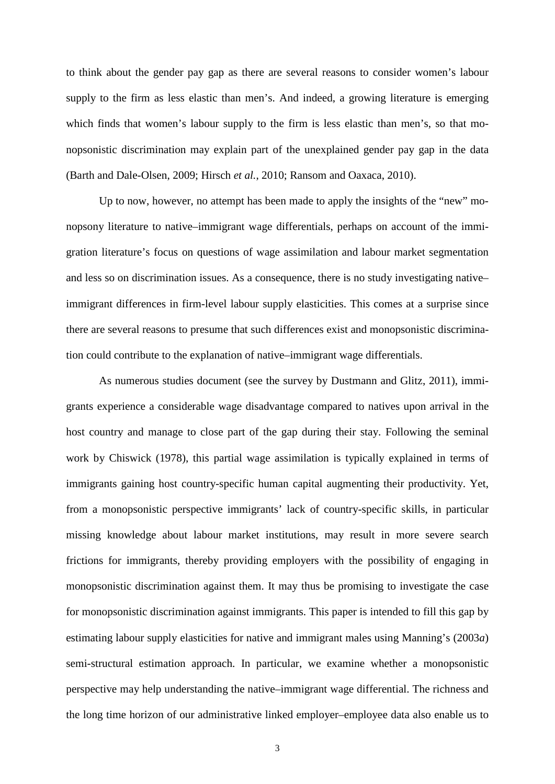to think about the gender pay gap as there are several reasons to consider women's labour supply to the firm as less elastic than men's. And indeed, a growing literature is emerging which finds that women's labour supply to the firm is less elastic than men's, so that monopsonistic discrimination may explain part of the unexplained gender pay gap in the data (Barth and Dale-Olsen, 2009; Hirsch *et al.*, 2010; Ransom and Oaxaca, 2010).

Up to now, however, no attempt has been made to apply the insights of the "new" monopsony literature to native–immigrant wage differentials, perhaps on account of the immigration literature's focus on questions of wage assimilation and labour market segmentation and less so on discrimination issues. As a consequence, there is no study investigating native– immigrant differences in firm-level labour supply elasticities. This comes at a surprise since there are several reasons to presume that such differences exist and monopsonistic discrimination could contribute to the explanation of native–immigrant wage differentials.

As numerous studies document (see the survey by Dustmann and Glitz, 2011), immigrants experience a considerable wage disadvantage compared to natives upon arrival in the host country and manage to close part of the gap during their stay. Following the seminal work by Chiswick (1978), this partial wage assimilation is typically explained in terms of immigrants gaining host country-specific human capital augmenting their productivity. Yet, from a monopsonistic perspective immigrants' lack of country-specific skills, in particular missing knowledge about labour market institutions, may result in more severe search frictions for immigrants, thereby providing employers with the possibility of engaging in monopsonistic discrimination against them. It may thus be promising to investigate the case for monopsonistic discrimination against immigrants. This paper is intended to fill this gap by estimating labour supply elasticities for native and immigrant males using Manning's (2003*a*) semi-structural estimation approach. In particular, we examine whether a monopsonistic perspective may help understanding the native–immigrant wage differential. The richness and the long time horizon of our administrative linked employer–employee data also enable us to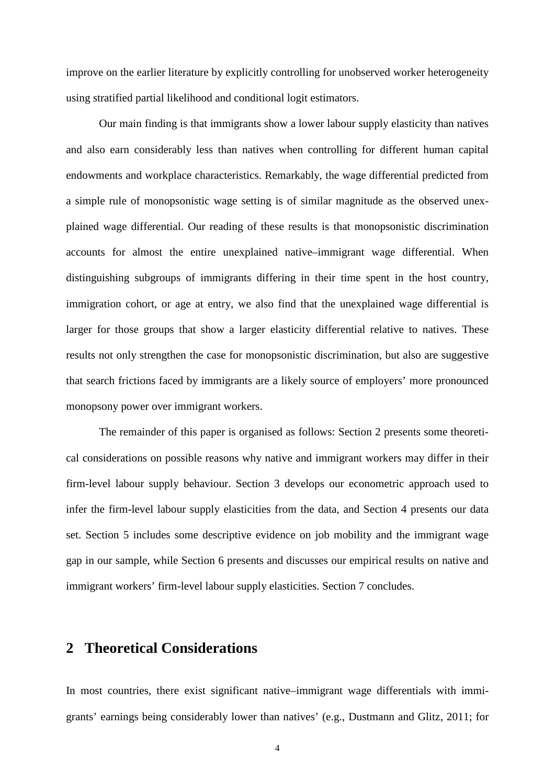improve on the earlier literature by explicitly controlling for unobserved worker heterogeneity using stratified partial likelihood and conditional logit estimators.

Our main finding is that immigrants show a lower labour supply elasticity than natives and also earn considerably less than natives when controlling for different human capital endowments and workplace characteristics. Remarkably, the wage differential predicted from a simple rule of monopsonistic wage setting is of similar magnitude as the observed unexplained wage differential. Our reading of these results is that monopsonistic discrimination accounts for almost the entire unexplained native–immigrant wage differential. When distinguishing subgroups of immigrants differing in their time spent in the host country, immigration cohort, or age at entry, we also find that the unexplained wage differential is larger for those groups that show a larger elasticity differential relative to natives. These results not only strengthen the case for monopsonistic discrimination, but also are suggestive that search frictions faced by immigrants are a likely source of employers' more pronounced monopsony power over immigrant workers.

The remainder of this paper is organised as follows: Section 2 presents some theoretical considerations on possible reasons why native and immigrant workers may differ in their firm-level labour supply behaviour. Section 3 develops our econometric approach used to infer the firm-level labour supply elasticities from the data, and Section 4 presents our data set. Section 5 includes some descriptive evidence on job mobility and the immigrant wage gap in our sample, while Section 6 presents and discusses our empirical results on native and immigrant workers' firm-level labour supply elasticities. Section 7 concludes.

## **2 Theoretical Considerations**

In most countries, there exist significant native–immigrant wage differentials with immigrants' earnings being considerably lower than natives' (e.g., Dustmann and Glitz, 2011; for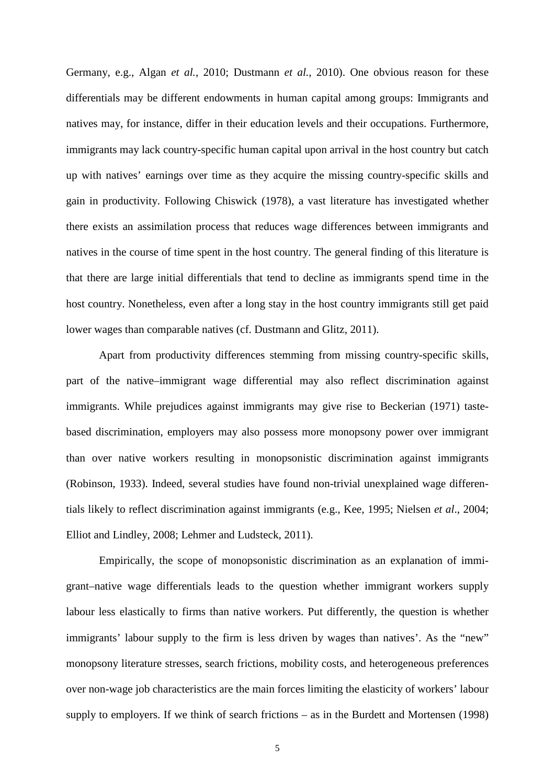Germany, e.g., Algan *et al.*, 2010; Dustmann *et al.*, 2010). One obvious reason for these differentials may be different endowments in human capital among groups: Immigrants and natives may, for instance, differ in their education levels and their occupations. Furthermore, immigrants may lack country-specific human capital upon arrival in the host country but catch up with natives' earnings over time as they acquire the missing country-specific skills and gain in productivity. Following Chiswick (1978), a vast literature has investigated whether there exists an assimilation process that reduces wage differences between immigrants and natives in the course of time spent in the host country. The general finding of this literature is that there are large initial differentials that tend to decline as immigrants spend time in the host country. Nonetheless, even after a long stay in the host country immigrants still get paid lower wages than comparable natives (cf. Dustmann and Glitz, 2011).

Apart from productivity differences stemming from missing country-specific skills, part of the native–immigrant wage differential may also reflect discrimination against immigrants. While prejudices against immigrants may give rise to Beckerian (1971) tastebased discrimination, employers may also possess more monopsony power over immigrant than over native workers resulting in monopsonistic discrimination against immigrants (Robinson, 1933). Indeed, several studies have found non-trivial unexplained wage differentials likely to reflect discrimination against immigrants (e.g., Kee, 1995; Nielsen *et al*., 2004; Elliot and Lindley, 2008; Lehmer and Ludsteck, 2011).

Empirically, the scope of monopsonistic discrimination as an explanation of immigrant–native wage differentials leads to the question whether immigrant workers supply labour less elastically to firms than native workers. Put differently, the question is whether immigrants' labour supply to the firm is less driven by wages than natives'. As the "new" monopsony literature stresses, search frictions, mobility costs, and heterogeneous preferences over non-wage job characteristics are the main forces limiting the elasticity of workers' labour supply to employers. If we think of search frictions – as in the Burdett and Mortensen (1998)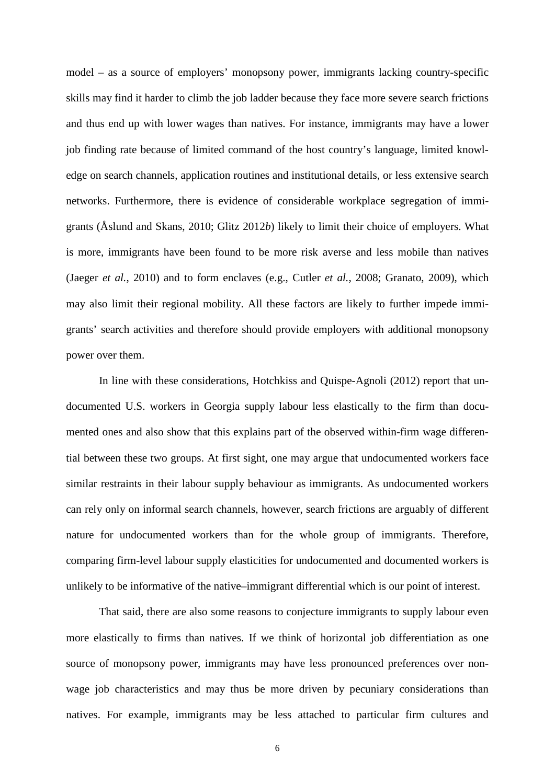model – as a source of employers' monopsony power, immigrants lacking country-specific skills may find it harder to climb the job ladder because they face more severe search frictions and thus end up with lower wages than natives. For instance, immigrants may have a lower job finding rate because of limited command of the host country's language, limited knowledge on search channels, application routines and institutional details, or less extensive search networks. Furthermore, there is evidence of considerable workplace segregation of immigrants (Åslund and Skans, 2010; Glitz 2012*b*) likely to limit their choice of employers. What is more, immigrants have been found to be more risk averse and less mobile than natives (Jaeger *et al.*, 2010) and to form enclaves (e.g., Cutler *et al.*, 2008; Granato, 2009), which may also limit their regional mobility. All these factors are likely to further impede immigrants' search activities and therefore should provide employers with additional monopsony power over them.

In line with these considerations, Hotchkiss and Quispe-Agnoli (2012) report that undocumented U.S. workers in Georgia supply labour less elastically to the firm than documented ones and also show that this explains part of the observed within-firm wage differential between these two groups. At first sight, one may argue that undocumented workers face similar restraints in their labour supply behaviour as immigrants. As undocumented workers can rely only on informal search channels, however, search frictions are arguably of different nature for undocumented workers than for the whole group of immigrants. Therefore, comparing firm-level labour supply elasticities for undocumented and documented workers is unlikely to be informative of the native–immigrant differential which is our point of interest.

That said, there are also some reasons to conjecture immigrants to supply labour even more elastically to firms than natives. If we think of horizontal job differentiation as one source of monopsony power, immigrants may have less pronounced preferences over nonwage job characteristics and may thus be more driven by pecuniary considerations than natives. For example, immigrants may be less attached to particular firm cultures and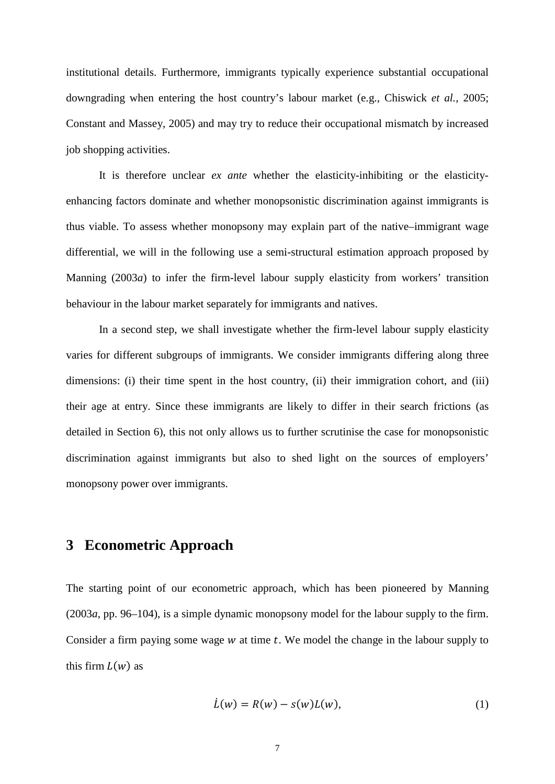institutional details. Furthermore, immigrants typically experience substantial occupational downgrading when entering the host country's labour market (e.g., Chiswick *et al.*, 2005; Constant and Massey, 2005) and may try to reduce their occupational mismatch by increased job shopping activities.

It is therefore unclear *ex ante* whether the elasticity-inhibiting or the elasticityenhancing factors dominate and whether monopsonistic discrimination against immigrants is thus viable. To assess whether monopsony may explain part of the native–immigrant wage differential, we will in the following use a semi-structural estimation approach proposed by Manning (2003*a*) to infer the firm-level labour supply elasticity from workers' transition behaviour in the labour market separately for immigrants and natives.

In a second step, we shall investigate whether the firm-level labour supply elasticity varies for different subgroups of immigrants. We consider immigrants differing along three dimensions: (i) their time spent in the host country, (ii) their immigration cohort, and (iii) their age at entry. Since these immigrants are likely to differ in their search frictions (as detailed in Section 6), this not only allows us to further scrutinise the case for monopsonistic discrimination against immigrants but also to shed light on the sources of employers' monopsony power over immigrants.

## **3 Econometric Approach**

The starting point of our econometric approach, which has been pioneered by Manning (2003*a*, pp. 96–104), is a simple dynamic monopsony model for the labour supply to the firm. Consider a firm paying some wage  $w$  at time  $t$ . We model the change in the labour supply to this firm  $L(w)$  as

$$
\dot{L}(w) = R(w) - s(w)L(w),\tag{1}
$$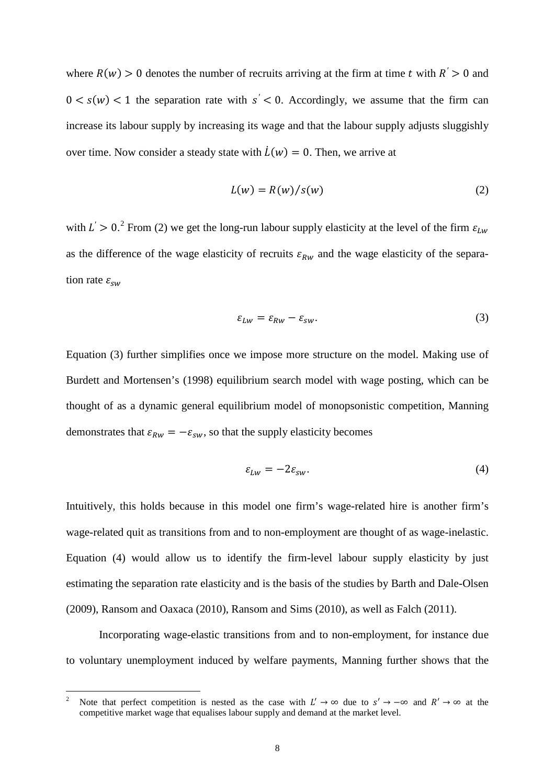where  $R(w) > 0$  denotes the number of recruits arriving at the firm at time t with  $R' > 0$  and  $0 \lt s(w) \lt 1$  the separation rate with  $s' \lt 0$ . Accordingly, we assume that the firm can increase its labour supply by increasing its wage and that the labour supply adjusts sluggishly over time. Now consider a steady state with  $L(w) = 0$ . Then, we arrive at

$$
L(w) = R(w) / s(w)
$$
 (2)

with  $L' > 0$ .<sup>[2](#page-7-0)</sup> From (2) we get the long-run labour supply elasticity at the level of the firm  $\varepsilon_{Lw}$ as the difference of the wage elasticity of recruits  $\varepsilon_{Rw}$  and the wage elasticity of the separation rate  $\varepsilon_{sw}$ 

$$
\varepsilon_{Lw} = \varepsilon_{Rw} - \varepsilon_{sw}.\tag{3}
$$

Equation (3) further simplifies once we impose more structure on the model. Making use of Burdett and Mortensen's (1998) equilibrium search model with wage posting, which can be thought of as a dynamic general equilibrium model of monopsonistic competition, Manning demonstrates that  $\varepsilon_{Rw} = -\varepsilon_{sw}$ , so that the supply elasticity becomes

$$
\varepsilon_{Lw} = -2\varepsilon_{sw}.\tag{4}
$$

Intuitively, this holds because in this model one firm's wage-related hire is another firm's wage-related quit as transitions from and to non-employment are thought of as wage-inelastic. Equation (4) would allow us to identify the firm-level labour supply elasticity by just estimating the separation rate elasticity and is the basis of the studies by Barth and Dale-Olsen (2009), Ransom and Oaxaca (2010), Ransom and Sims (2010), as well as Falch (2011).

Incorporating wage-elastic transitions from and to non-employment, for instance due to voluntary unemployment induced by welfare payments, Manning further shows that the

<span id="page-7-0"></span><sup>&</sup>lt;sup>2</sup> Note that perfect competition is nested as the case with  $L' \to \infty$  due to  $s' \to -\infty$  and  $R' \to \infty$  at the competitive market wage that equalises labour supply and demand at the market level.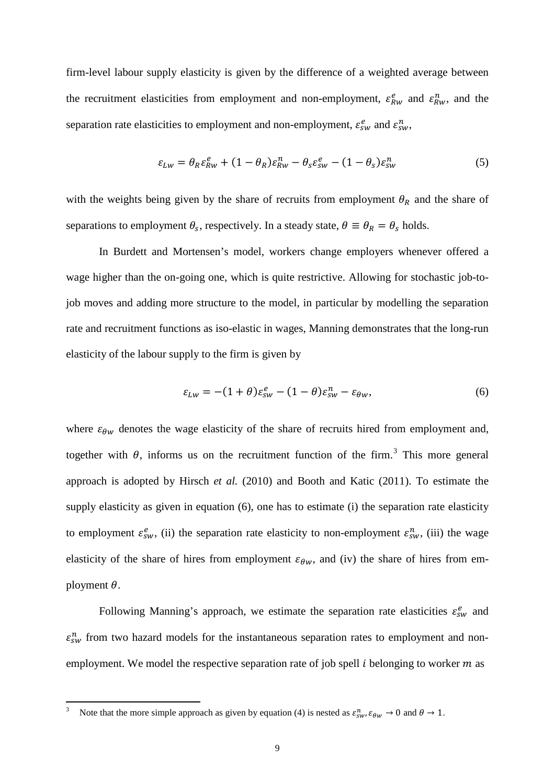firm-level labour supply elasticity is given by the difference of a weighted average between the recruitment elasticities from employment and non-employment,  $\varepsilon_{RW}^e$  and  $\varepsilon_{RW}^n$ , and the separation rate elasticities to employment and non-employment,  $\varepsilon_{sw}^e$  and  $\varepsilon_{sw}^n$ ,

$$
\varepsilon_{Lw} = \theta_R \varepsilon_{Rw}^e + (1 - \theta_R) \varepsilon_{Rw}^n - \theta_s \varepsilon_{sw}^e - (1 - \theta_s) \varepsilon_{sw}^n \tag{5}
$$

with the weights being given by the share of recruits from employment  $\theta_R$  and the share of separations to employment  $\theta_s$ , respectively. In a steady state,  $\theta \equiv \theta_R = \theta_s$  holds.

In Burdett and Mortensen's model, workers change employers whenever offered a wage higher than the on-going one, which is quite restrictive. Allowing for stochastic job-tojob moves and adding more structure to the model, in particular by modelling the separation rate and recruitment functions as iso-elastic in wages, Manning demonstrates that the long-run elasticity of the labour supply to the firm is given by

$$
\varepsilon_{Lw} = -(1+\theta)\varepsilon_{sw}^e - (1-\theta)\varepsilon_{sw}^n - \varepsilon_{\theta w},\tag{6}
$$

where  $\varepsilon_{\theta w}$  denotes the wage elasticity of the share of recruits hired from employment and, together with  $\theta$ , informs us on the recruitment function of the firm.<sup>[3](#page-8-0)</sup> This more general approach is adopted by Hirsch *et al.* (2010) and Booth and Katic (2011). To estimate the supply elasticity as given in equation (6), one has to estimate (i) the separation rate elasticity to employment  $\varepsilon_{sw}^e$ , (ii) the separation rate elasticity to non-employment  $\varepsilon_{sw}^n$ , (iii) the wage elasticity of the share of hires from employment  $\varepsilon_{\theta w}$ , and (iv) the share of hires from employment  $\theta$ .

Following Manning's approach, we estimate the separation rate elasticities  $\varepsilon_{sw}^e$  and  $\varepsilon_{sw}^n$  from two hazard models for the instantaneous separation rates to employment and nonemployment. We model the respective separation rate of job spell  $i$  belonging to worker  $m$  as

<span id="page-8-0"></span><sup>3</sup> Note that the more simple approach as given by equation (4) is nested as  $\varepsilon_{sw}^n$ ,  $\varepsilon_{\theta w} \to 0$  and  $\theta \to 1$ .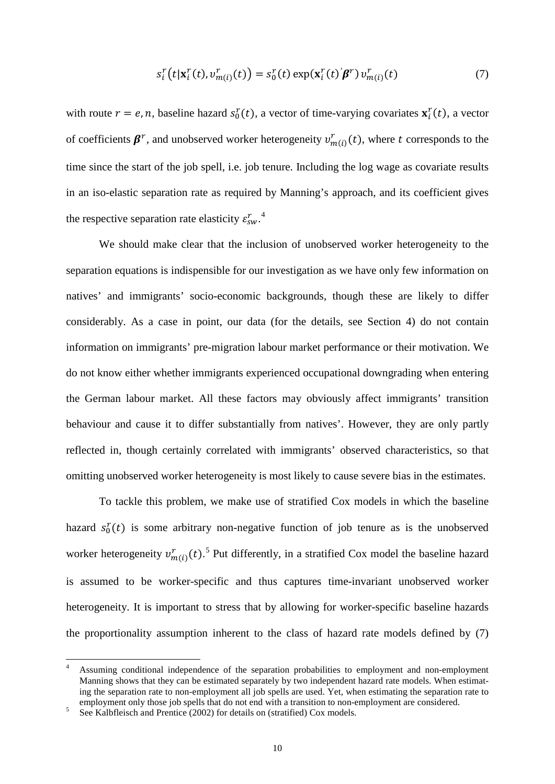$$
s_i^r(t|\mathbf{x}_i^r(t), v_{m(i)}^r(t)) = s_0^r(t) \exp(\mathbf{x}_i^r(t)'\boldsymbol{\beta}^r) v_{m(i)}^r(t)
$$
\n<sup>(7)</sup>

with route  $r = e, n$ , baseline hazard  $s_0^r(t)$ , a vector of time-varying covariates  $\mathbf{x}_i^r(t)$ , a vector of coefficients  $\beta^r$ , and unobserved worker heterogeneity  $v^r_{m(i)}(t)$ , where t corresponds to the time since the start of the job spell, i.e. job tenure. Including the log wage as covariate results in an iso-elastic separation rate as required by Manning's approach, and its coefficient gives the respective separation rate elasticity  $\varepsilon_{sw}^r$ .

We should make clear that the inclusion of unobserved worker heterogeneity to the separation equations is indispensible for our investigation as we have only few information on natives' and immigrants' socio-economic backgrounds, though these are likely to differ considerably. As a case in point, our data (for the details, see Section 4) do not contain information on immigrants' pre-migration labour market performance or their motivation. We do not know either whether immigrants experienced occupational downgrading when entering the German labour market. All these factors may obviously affect immigrants' transition behaviour and cause it to differ substantially from natives'. However, they are only partly reflected in, though certainly correlated with immigrants' observed characteristics, so that omitting unobserved worker heterogeneity is most likely to cause severe bias in the estimates.

To tackle this problem, we make use of stratified Cox models in which the baseline hazard  $s_0^r(t)$  is some arbitrary non-negative function of job tenure as is the unobserved worker heterogeneity  $v_{m(i)}^r(t)$ .<sup>[5](#page-9-1)</sup> Put differently, in a stratified Cox model the baseline hazard is assumed to be worker-specific and thus captures time-invariant unobserved worker heterogeneity. It is important to stress that by allowing for worker-specific baseline hazards the proportionality assumption inherent to the class of hazard rate models defined by (7)

<span id="page-9-0"></span> <sup>4</sup> Assuming conditional independence of the separation probabilities to employment and non-employment Manning shows that they can be estimated separately by two independent hazard rate models. When estimating the separation rate to non-employment all job spells are used. Yet, when estimating the separation rate to employment only those job spells that do not end with a transition to non-employment are considered.

<span id="page-9-1"></span><sup>5</sup> See Kalbfleisch and Prentice (2002) for details on (stratified) Cox models.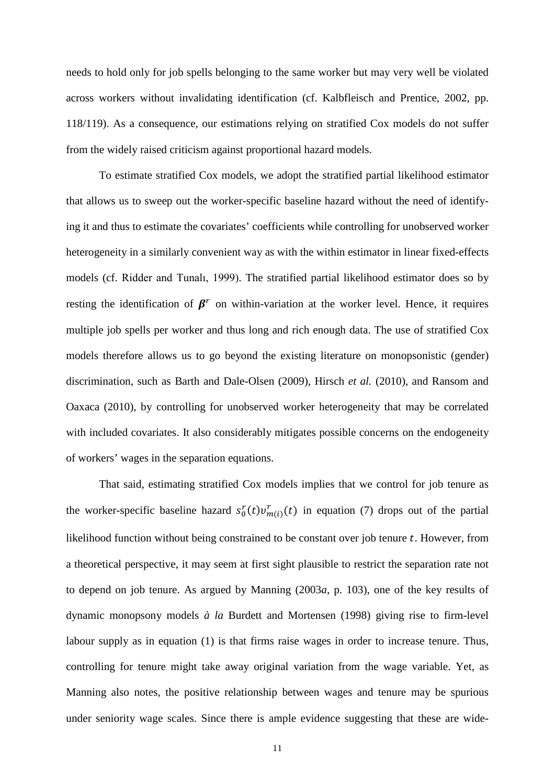needs to hold only for job spells belonging to the same worker but may very well be violated across workers without invalidating identification (cf. Kalbfleisch and Prentice, 2002, pp. 118/119). As a consequence, our estimations relying on stratified Cox models do not suffer from the widely raised criticism against proportional hazard models.

To estimate stratified Cox models, we adopt the stratified partial likelihood estimator that allows us to sweep out the worker-specific baseline hazard without the need of identifying it and thus to estimate the covariates' coefficients while controlling for unobserved worker heterogeneity in a similarly convenient way as with the within estimator in linear fixed-effects models (cf. Ridder and Tunalı, 1999). The stratified partial likelihood estimator does so by resting the identification of  $\beta^r$  on within-variation at the worker level. Hence, it requires multiple job spells per worker and thus long and rich enough data. The use of stratified Cox models therefore allows us to go beyond the existing literature on monopsonistic (gender) discrimination, such as Barth and Dale-Olsen (2009), Hirsch *et al.* (2010), and Ransom and Oaxaca (2010), by controlling for unobserved worker heterogeneity that may be correlated with included covariates. It also considerably mitigates possible concerns on the endogeneity of workers' wages in the separation equations.

That said, estimating stratified Cox models implies that we control for job tenure as the worker-specific baseline hazard  $s_0^r(t)v_{m(i)}^r(t)$  in equation (7) drops out of the partial likelihood function without being constrained to be constant over job tenure  $t$ . However, from a theoretical perspective, it may seem at first sight plausible to restrict the separation rate not to depend on job tenure. As argued by Manning (2003*a*, p. 103), one of the key results of dynamic monopsony models *à la* Burdett and Mortensen (1998) giving rise to firm-level labour supply as in equation (1) is that firms raise wages in order to increase tenure. Thus, controlling for tenure might take away original variation from the wage variable. Yet, as Manning also notes, the positive relationship between wages and tenure may be spurious under seniority wage scales. Since there is ample evidence suggesting that these are wide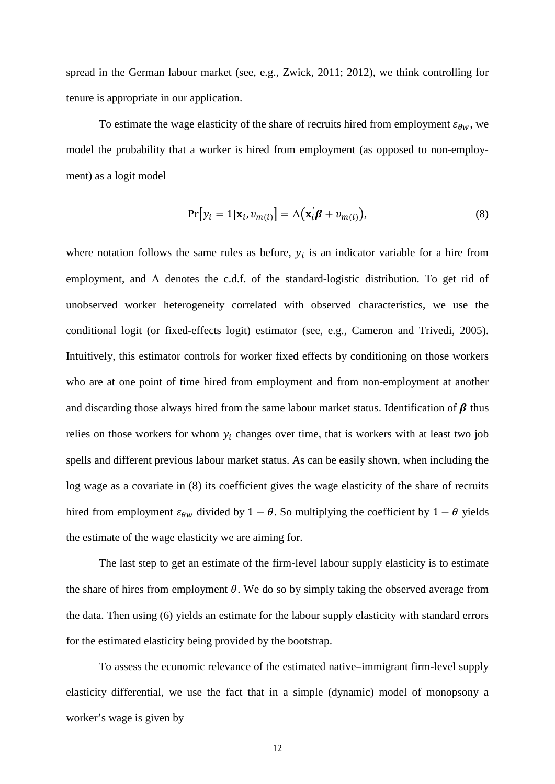spread in the German labour market (see, e.g., Zwick, 2011; 2012), we think controlling for tenure is appropriate in our application.

To estimate the wage elasticity of the share of recruits hired from employment  $\varepsilon_{\theta w}$ , we model the probability that a worker is hired from employment (as opposed to non-employment) as a logit model

$$
Pr[y_i = 1 | \mathbf{x}_i, v_{m(i)}] = \Lambda(\mathbf{x}_i' \boldsymbol{\beta} + v_{m(i)}),
$$
\n(8)

where notation follows the same rules as before,  $y_i$  is an indicator variable for a hire from employment, and Λ denotes the c.d.f. of the standard-logistic distribution. To get rid of unobserved worker heterogeneity correlated with observed characteristics, we use the conditional logit (or fixed-effects logit) estimator (see, e.g., Cameron and Trivedi, 2005). Intuitively, this estimator controls for worker fixed effects by conditioning on those workers who are at one point of time hired from employment and from non-employment at another and discarding those always hired from the same labour market status. Identification of  $\beta$  thus relies on those workers for whom  $y_i$  changes over time, that is workers with at least two job spells and different previous labour market status. As can be easily shown, when including the log wage as a covariate in (8) its coefficient gives the wage elasticity of the share of recruits hired from employment  $\varepsilon_{\theta w}$  divided by 1 −  $\theta$ . So multiplying the coefficient by 1 −  $\theta$  yields the estimate of the wage elasticity we are aiming for.

The last step to get an estimate of the firm-level labour supply elasticity is to estimate the share of hires from employment  $\theta$ . We do so by simply taking the observed average from the data. Then using (6) yields an estimate for the labour supply elasticity with standard errors for the estimated elasticity being provided by the bootstrap.

To assess the economic relevance of the estimated native–immigrant firm-level supply elasticity differential, we use the fact that in a simple (dynamic) model of monopsony a worker's wage is given by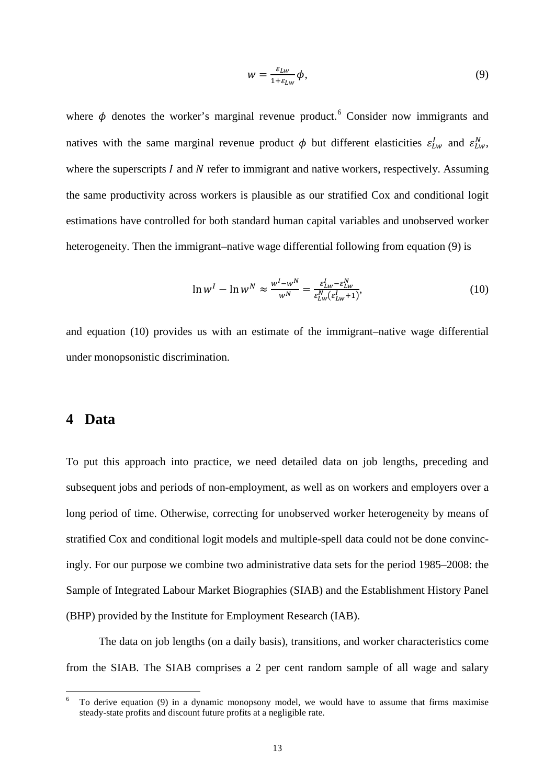$$
w = \frac{\varepsilon_{Lw}}{1 + \varepsilon_{Lw}} \phi,\tag{9}
$$

where  $\phi$  denotes the worker's marginal revenue product.<sup>[6](#page-12-0)</sup> Consider now immigrants and natives with the same marginal revenue product  $\phi$  but different elasticities  $\varepsilon_{Lw}^l$  and  $\varepsilon_{Lw}^N$ , where the superscripts  $I$  and  $N$  refer to immigrant and native workers, respectively. Assuming the same productivity across workers is plausible as our stratified Cox and conditional logit estimations have controlled for both standard human capital variables and unobserved worker heterogeneity. Then the immigrant–native wage differential following from equation (9) is

$$
\ln w^{I} - \ln w^{N} \approx \frac{w^{I} - w^{N}}{w^{N}} = \frac{\varepsilon_{Lw}^{I} - \varepsilon_{Lw}^{N}}{\varepsilon_{Lw}^{V}(\varepsilon_{Lw}^{I} + 1)},
$$
\n(10)

and equation (10) provides us with an estimate of the immigrant–native wage differential under monopsonistic discrimination.

## **4 Data**

To put this approach into practice, we need detailed data on job lengths, preceding and subsequent jobs and periods of non-employment, as well as on workers and employers over a long period of time. Otherwise, correcting for unobserved worker heterogeneity by means of stratified Cox and conditional logit models and multiple-spell data could not be done convincingly. For our purpose we combine two administrative data sets for the period 1985–2008: the Sample of Integrated Labour Market Biographies (SIAB) and the Establishment History Panel (BHP) provided by the Institute for Employment Research (IAB).

The data on job lengths (on a daily basis), transitions, and worker characteristics come from the SIAB. The SIAB comprises a 2 per cent random sample of all wage and salary

<span id="page-12-0"></span> <sup>6</sup> To derive equation (9) in a dynamic monopsony model, we would have to assume that firms maximise steady-state profits and discount future profits at a negligible rate.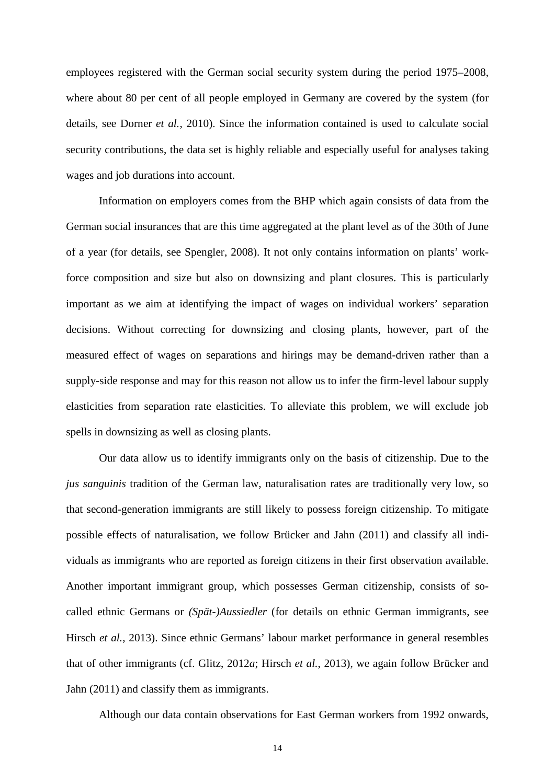employees registered with the German social security system during the period 1975–2008, where about 80 per cent of all people employed in Germany are covered by the system (for details, see Dorner *et al.*, 2010). Since the information contained is used to calculate social security contributions, the data set is highly reliable and especially useful for analyses taking wages and job durations into account.

Information on employers comes from the BHP which again consists of data from the German social insurances that are this time aggregated at the plant level as of the 30th of June of a year (for details, see Spengler, 2008). It not only contains information on plants' workforce composition and size but also on downsizing and plant closures. This is particularly important as we aim at identifying the impact of wages on individual workers' separation decisions. Without correcting for downsizing and closing plants, however, part of the measured effect of wages on separations and hirings may be demand-driven rather than a supply-side response and may for this reason not allow us to infer the firm-level labour supply elasticities from separation rate elasticities. To alleviate this problem, we will exclude job spells in downsizing as well as closing plants.

Our data allow us to identify immigrants only on the basis of citizenship. Due to the *jus sanguinis* tradition of the German law, naturalisation rates are traditionally very low, so that second-generation immigrants are still likely to possess foreign citizenship. To mitigate possible effects of naturalisation, we follow Brücker and Jahn (2011) and classify all individuals as immigrants who are reported as foreign citizens in their first observation available. Another important immigrant group, which possesses German citizenship, consists of socalled ethnic Germans or *(Spät-)Aussiedler* (for details on ethnic German immigrants, see Hirsch *et al.*, 2013). Since ethnic Germans' labour market performance in general resembles that of other immigrants (cf. Glitz, 2012*a*; Hirsch *et al.*, 2013), we again follow Brücker and Jahn (2011) and classify them as immigrants.

Although our data contain observations for East German workers from 1992 onwards,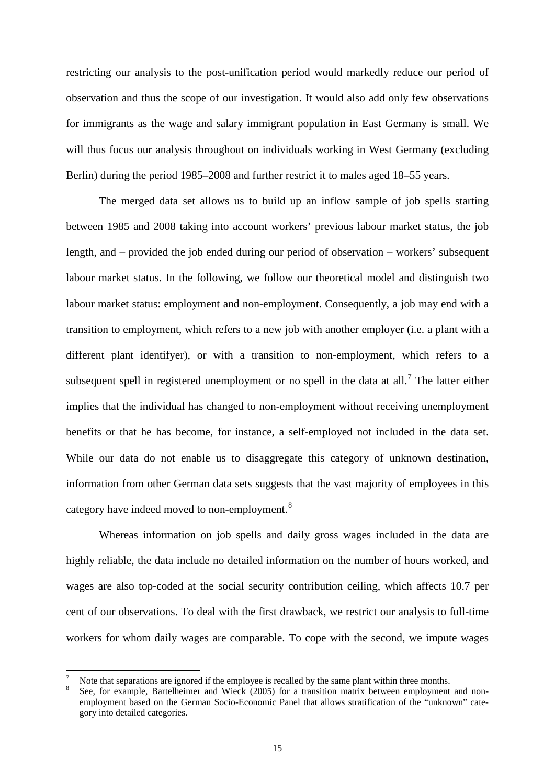restricting our analysis to the post-unification period would markedly reduce our period of observation and thus the scope of our investigation. It would also add only few observations for immigrants as the wage and salary immigrant population in East Germany is small. We will thus focus our analysis throughout on individuals working in West Germany (excluding Berlin) during the period 1985–2008 and further restrict it to males aged 18–55 years.

The merged data set allows us to build up an inflow sample of job spells starting between 1985 and 2008 taking into account workers' previous labour market status, the job length, and – provided the job ended during our period of observation – workers' subsequent labour market status. In the following, we follow our theoretical model and distinguish two labour market status: employment and non-employment. Consequently, a job may end with a transition to employment, which refers to a new job with another employer (i.e. a plant with a different plant identifyer), or with a transition to non-employment, which refers to a subsequent spell in registered unemployment or no spell in the data at all.<sup>[7](#page-14-0)</sup> The latter either implies that the individual has changed to non-employment without receiving unemployment benefits or that he has become, for instance, a self-employed not included in the data set. While our data do not enable us to disaggregate this category of unknown destination, information from other German data sets suggests that the vast majority of employees in this category have indeed moved to non-employment.<sup>[8](#page-14-1)</sup>

Whereas information on job spells and daily gross wages included in the data are highly reliable, the data include no detailed information on the number of hours worked, and wages are also top-coded at the social security contribution ceiling, which affects 10.7 per cent of our observations. To deal with the first drawback, we restrict our analysis to full-time workers for whom daily wages are comparable. To cope with the second, we impute wages

<span id="page-14-0"></span>Note that separations are ignored if the employee is recalled by the same plant within three months.<br>See, for example, Bartelheimer and Wieck (2005) for a transition matrix between employment and non-

<span id="page-14-1"></span>employment based on the German Socio-Economic Panel that allows stratification of the "unknown" category into detailed categories.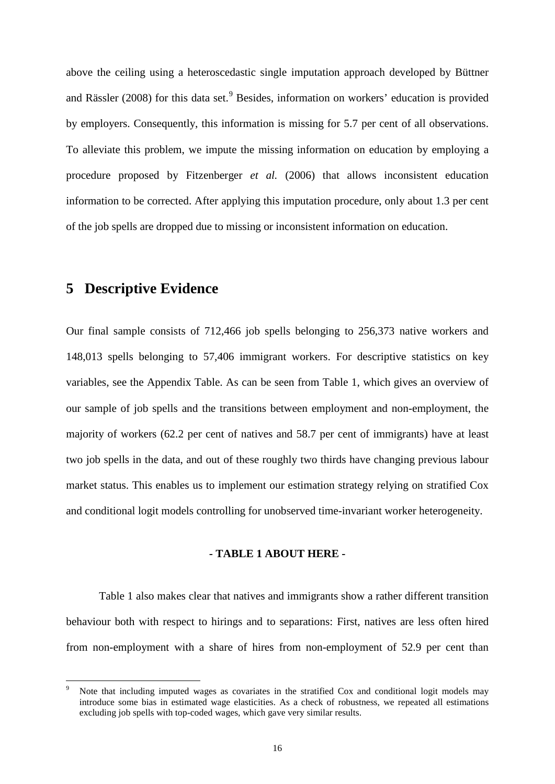above the ceiling using a heteroscedastic single imputation approach developed by Büttner and Rässler (2008) for this data set.<sup>[9](#page-15-0)</sup> Besides, information on workers' education is provided by employers. Consequently, this information is missing for 5.7 per cent of all observations. To alleviate this problem, we impute the missing information on education by employing a procedure proposed by Fitzenberger *et al.* (2006) that allows inconsistent education information to be corrected. After applying this imputation procedure, only about 1.3 per cent of the job spells are dropped due to missing or inconsistent information on education.

## **5 Descriptive Evidence**

Our final sample consists of 712,466 job spells belonging to 256,373 native workers and 148,013 spells belonging to 57,406 immigrant workers. For descriptive statistics on key variables, see the Appendix Table. As can be seen from Table 1, which gives an overview of our sample of job spells and the transitions between employment and non-employment, the majority of workers (62.2 per cent of natives and 58.7 per cent of immigrants) have at least two job spells in the data, and out of these roughly two thirds have changing previous labour market status. This enables us to implement our estimation strategy relying on stratified Cox and conditional logit models controlling for unobserved time-invariant worker heterogeneity.

#### **- TABLE 1 ABOUT HERE -**

Table 1 also makes clear that natives and immigrants show a rather different transition behaviour both with respect to hirings and to separations: First, natives are less often hired from non-employment with a share of hires from non-employment of 52.9 per cent than

<span id="page-15-0"></span>Note that including imputed wages as covariates in the stratified Cox and conditional logit models may introduce some bias in estimated wage elasticities. As a check of robustness, we repeated all estimations excluding job spells with top-coded wages, which gave very similar results.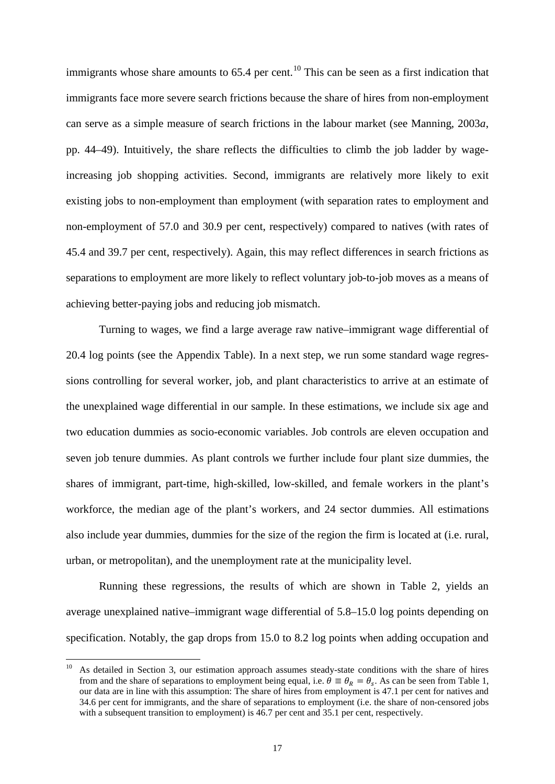immigrants whose share amounts to  $65.4$  per cent.<sup>[10](#page-16-0)</sup> This can be seen as a first indication that immigrants face more severe search frictions because the share of hires from non-employment can serve as a simple measure of search frictions in the labour market (see Manning, 2003*a*, pp. 44–49). Intuitively, the share reflects the difficulties to climb the job ladder by wageincreasing job shopping activities. Second, immigrants are relatively more likely to exit existing jobs to non-employment than employment (with separation rates to employment and non-employment of 57.0 and 30.9 per cent, respectively) compared to natives (with rates of 45.4 and 39.7 per cent, respectively). Again, this may reflect differences in search frictions as separations to employment are more likely to reflect voluntary job-to-job moves as a means of achieving better-paying jobs and reducing job mismatch.

Turning to wages, we find a large average raw native–immigrant wage differential of 20.4 log points (see the Appendix Table). In a next step, we run some standard wage regressions controlling for several worker, job, and plant characteristics to arrive at an estimate of the unexplained wage differential in our sample. In these estimations, we include six age and two education dummies as socio-economic variables. Job controls are eleven occupation and seven job tenure dummies. As plant controls we further include four plant size dummies, the shares of immigrant, part-time, high-skilled, low-skilled, and female workers in the plant's workforce, the median age of the plant's workers, and 24 sector dummies. All estimations also include year dummies, dummies for the size of the region the firm is located at (i.e. rural, urban, or metropolitan), and the unemployment rate at the municipality level.

Running these regressions, the results of which are shown in Table 2, yields an average unexplained native–immigrant wage differential of 5.8–15.0 log points depending on specification. Notably, the gap drops from 15.0 to 8.2 log points when adding occupation and

<span id="page-16-0"></span><sup>&</sup>lt;sup>10</sup> As detailed in Section 3, our estimation approach assumes steady-state conditions with the share of hires from and the share of separations to employment being equal, i.e.  $\theta \equiv \theta_R = \theta_s$ . As can be seen from Table 1, our data are in line with this assumption: The share of hires from employment is 47.1 per cent for natives and 34.6 per cent for immigrants, and the share of separations to employment (i.e. the share of non-censored jobs with a subsequent transition to employment) is 46.7 per cent and 35.1 per cent, respectively.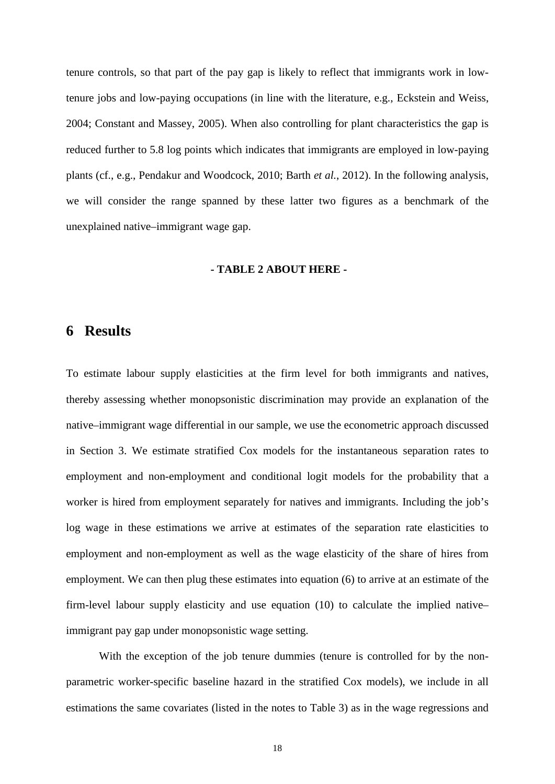tenure controls, so that part of the pay gap is likely to reflect that immigrants work in lowtenure jobs and low-paying occupations (in line with the literature, e.g., Eckstein and Weiss, 2004; Constant and Massey, 2005). When also controlling for plant characteristics the gap is reduced further to 5.8 log points which indicates that immigrants are employed in low-paying plants (cf., e.g., Pendakur and Woodcock, 2010; Barth *et al.*, 2012). In the following analysis, we will consider the range spanned by these latter two figures as a benchmark of the unexplained native–immigrant wage gap.

#### **- TABLE 2 ABOUT HERE -**

## **6 Results**

To estimate labour supply elasticities at the firm level for both immigrants and natives, thereby assessing whether monopsonistic discrimination may provide an explanation of the native–immigrant wage differential in our sample, we use the econometric approach discussed in Section 3. We estimate stratified Cox models for the instantaneous separation rates to employment and non-employment and conditional logit models for the probability that a worker is hired from employment separately for natives and immigrants. Including the job's log wage in these estimations we arrive at estimates of the separation rate elasticities to employment and non-employment as well as the wage elasticity of the share of hires from employment. We can then plug these estimates into equation (6) to arrive at an estimate of the firm-level labour supply elasticity and use equation (10) to calculate the implied native– immigrant pay gap under monopsonistic wage setting.

With the exception of the job tenure dummies (tenure is controlled for by the nonparametric worker-specific baseline hazard in the stratified Cox models), we include in all estimations the same covariates (listed in the notes to Table 3) as in the wage regressions and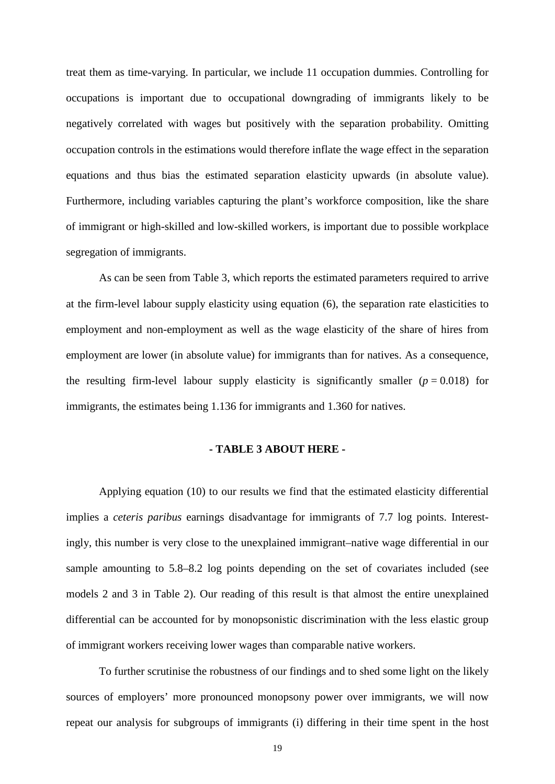treat them as time-varying. In particular, we include 11 occupation dummies. Controlling for occupations is important due to occupational downgrading of immigrants likely to be negatively correlated with wages but positively with the separation probability. Omitting occupation controls in the estimations would therefore inflate the wage effect in the separation equations and thus bias the estimated separation elasticity upwards (in absolute value). Furthermore, including variables capturing the plant's workforce composition, like the share of immigrant or high-skilled and low-skilled workers, is important due to possible workplace segregation of immigrants.

As can be seen from Table 3, which reports the estimated parameters required to arrive at the firm-level labour supply elasticity using equation (6), the separation rate elasticities to employment and non-employment as well as the wage elasticity of the share of hires from employment are lower (in absolute value) for immigrants than for natives. As a consequence, the resulting firm-level labour supply elasticity is significantly smaller  $(p = 0.018)$  for immigrants, the estimates being 1.136 for immigrants and 1.360 for natives.

#### **- TABLE 3 ABOUT HERE -**

Applying equation (10) to our results we find that the estimated elasticity differential implies a *ceteris paribus* earnings disadvantage for immigrants of 7.7 log points. Interestingly, this number is very close to the unexplained immigrant–native wage differential in our sample amounting to 5.8–8.2 log points depending on the set of covariates included (see models 2 and 3 in Table 2). Our reading of this result is that almost the entire unexplained differential can be accounted for by monopsonistic discrimination with the less elastic group of immigrant workers receiving lower wages than comparable native workers.

To further scrutinise the robustness of our findings and to shed some light on the likely sources of employers' more pronounced monopsony power over immigrants, we will now repeat our analysis for subgroups of immigrants (i) differing in their time spent in the host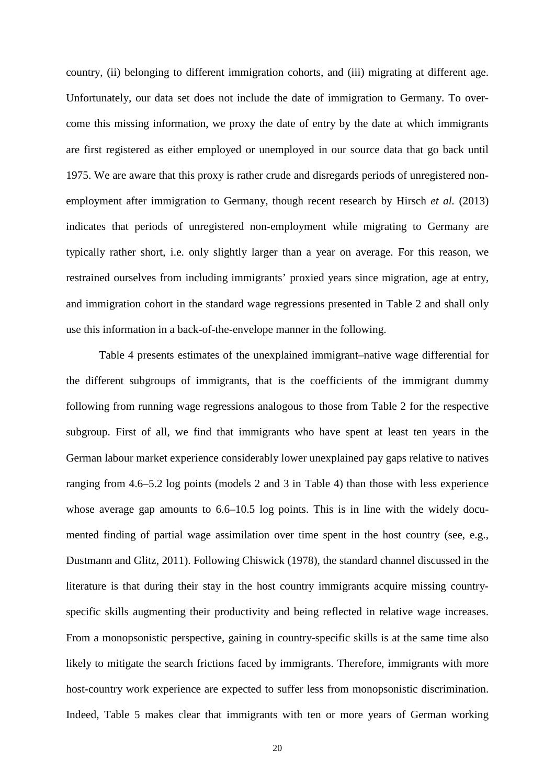country, (ii) belonging to different immigration cohorts, and (iii) migrating at different age. Unfortunately, our data set does not include the date of immigration to Germany. To overcome this missing information, we proxy the date of entry by the date at which immigrants are first registered as either employed or unemployed in our source data that go back until 1975. We are aware that this proxy is rather crude and disregards periods of unregistered nonemployment after immigration to Germany, though recent research by Hirsch *et al.* (2013) indicates that periods of unregistered non-employment while migrating to Germany are typically rather short, i.e. only slightly larger than a year on average. For this reason, we restrained ourselves from including immigrants' proxied years since migration, age at entry, and immigration cohort in the standard wage regressions presented in Table 2 and shall only use this information in a back-of-the-envelope manner in the following.

Table 4 presents estimates of the unexplained immigrant–native wage differential for the different subgroups of immigrants, that is the coefficients of the immigrant dummy following from running wage regressions analogous to those from Table 2 for the respective subgroup. First of all, we find that immigrants who have spent at least ten years in the German labour market experience considerably lower unexplained pay gaps relative to natives ranging from 4.6–5.2 log points (models 2 and 3 in Table 4) than those with less experience whose average gap amounts to  $6.6-10.5$  log points. This is in line with the widely documented finding of partial wage assimilation over time spent in the host country (see, e.g., Dustmann and Glitz, 2011). Following Chiswick (1978), the standard channel discussed in the literature is that during their stay in the host country immigrants acquire missing countryspecific skills augmenting their productivity and being reflected in relative wage increases. From a monopsonistic perspective, gaining in country-specific skills is at the same time also likely to mitigate the search frictions faced by immigrants. Therefore, immigrants with more host-country work experience are expected to suffer less from monopsonistic discrimination. Indeed, Table 5 makes clear that immigrants with ten or more years of German working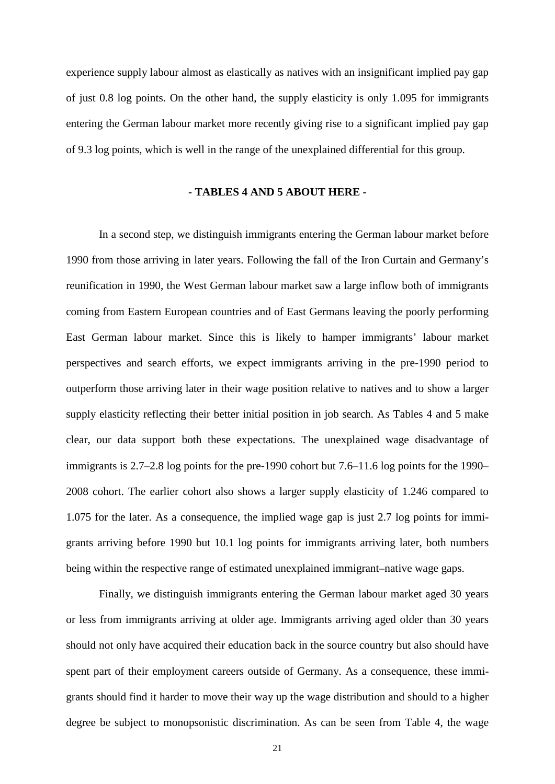experience supply labour almost as elastically as natives with an insignificant implied pay gap of just 0.8 log points. On the other hand, the supply elasticity is only 1.095 for immigrants entering the German labour market more recently giving rise to a significant implied pay gap of 9.3 log points, which is well in the range of the unexplained differential for this group.

#### **- TABLES 4 AND 5 ABOUT HERE -**

In a second step, we distinguish immigrants entering the German labour market before 1990 from those arriving in later years. Following the fall of the Iron Curtain and Germany's reunification in 1990, the West German labour market saw a large inflow both of immigrants coming from Eastern European countries and of East Germans leaving the poorly performing East German labour market. Since this is likely to hamper immigrants' labour market perspectives and search efforts, we expect immigrants arriving in the pre-1990 period to outperform those arriving later in their wage position relative to natives and to show a larger supply elasticity reflecting their better initial position in job search. As Tables 4 and 5 make clear, our data support both these expectations. The unexplained wage disadvantage of immigrants is 2.7–2.8 log points for the pre-1990 cohort but 7.6–11.6 log points for the 1990– 2008 cohort. The earlier cohort also shows a larger supply elasticity of 1.246 compared to 1.075 for the later. As a consequence, the implied wage gap is just 2.7 log points for immigrants arriving before 1990 but 10.1 log points for immigrants arriving later, both numbers being within the respective range of estimated unexplained immigrant–native wage gaps.

Finally, we distinguish immigrants entering the German labour market aged 30 years or less from immigrants arriving at older age. Immigrants arriving aged older than 30 years should not only have acquired their education back in the source country but also should have spent part of their employment careers outside of Germany. As a consequence, these immigrants should find it harder to move their way up the wage distribution and should to a higher degree be subject to monopsonistic discrimination. As can be seen from Table 4, the wage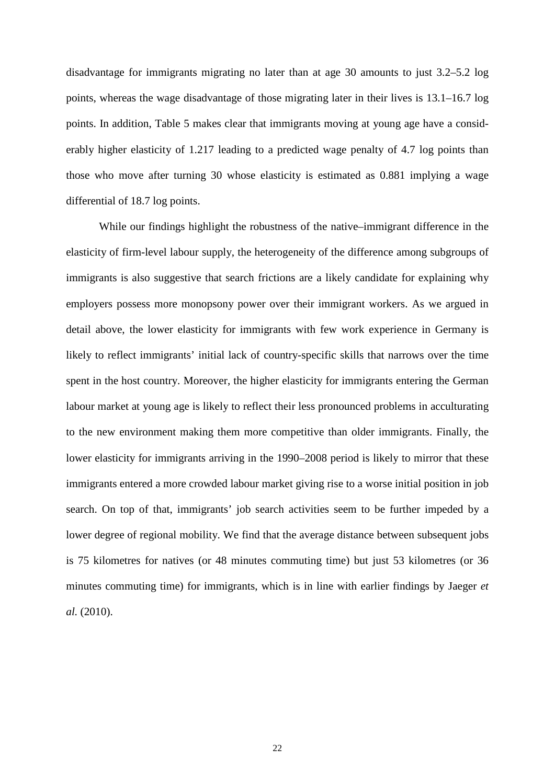disadvantage for immigrants migrating no later than at age 30 amounts to just 3.2–5.2 log points, whereas the wage disadvantage of those migrating later in their lives is 13.1–16.7 log points. In addition, Table 5 makes clear that immigrants moving at young age have a considerably higher elasticity of 1.217 leading to a predicted wage penalty of 4.7 log points than those who move after turning 30 whose elasticity is estimated as 0.881 implying a wage differential of 18.7 log points.

While our findings highlight the robustness of the native–immigrant difference in the elasticity of firm-level labour supply, the heterogeneity of the difference among subgroups of immigrants is also suggestive that search frictions are a likely candidate for explaining why employers possess more monopsony power over their immigrant workers. As we argued in detail above, the lower elasticity for immigrants with few work experience in Germany is likely to reflect immigrants' initial lack of country-specific skills that narrows over the time spent in the host country. Moreover, the higher elasticity for immigrants entering the German labour market at young age is likely to reflect their less pronounced problems in acculturating to the new environment making them more competitive than older immigrants. Finally, the lower elasticity for immigrants arriving in the 1990–2008 period is likely to mirror that these immigrants entered a more crowded labour market giving rise to a worse initial position in job search. On top of that, immigrants' job search activities seem to be further impeded by a lower degree of regional mobility. We find that the average distance between subsequent jobs is 75 kilometres for natives (or 48 minutes commuting time) but just 53 kilometres (or 36 minutes commuting time) for immigrants, which is in line with earlier findings by Jaeger *et al.* (2010).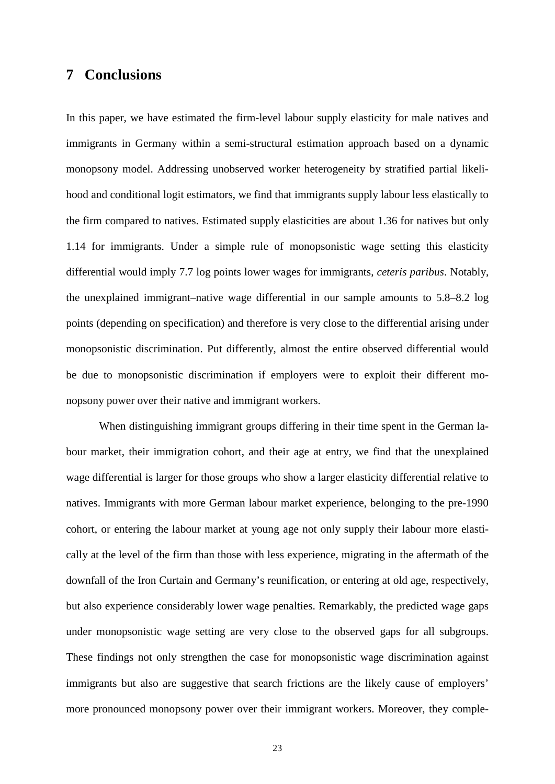## **7 Conclusions**

In this paper, we have estimated the firm-level labour supply elasticity for male natives and immigrants in Germany within a semi-structural estimation approach based on a dynamic monopsony model. Addressing unobserved worker heterogeneity by stratified partial likelihood and conditional logit estimators, we find that immigrants supply labour less elastically to the firm compared to natives. Estimated supply elasticities are about 1.36 for natives but only 1.14 for immigrants. Under a simple rule of monopsonistic wage setting this elasticity differential would imply 7.7 log points lower wages for immigrants, *ceteris paribus*. Notably, the unexplained immigrant–native wage differential in our sample amounts to 5.8–8.2 log points (depending on specification) and therefore is very close to the differential arising under monopsonistic discrimination. Put differently, almost the entire observed differential would be due to monopsonistic discrimination if employers were to exploit their different monopsony power over their native and immigrant workers.

When distinguishing immigrant groups differing in their time spent in the German labour market, their immigration cohort, and their age at entry, we find that the unexplained wage differential is larger for those groups who show a larger elasticity differential relative to natives. Immigrants with more German labour market experience, belonging to the pre-1990 cohort, or entering the labour market at young age not only supply their labour more elastically at the level of the firm than those with less experience, migrating in the aftermath of the downfall of the Iron Curtain and Germany's reunification, or entering at old age, respectively, but also experience considerably lower wage penalties. Remarkably, the predicted wage gaps under monopsonistic wage setting are very close to the observed gaps for all subgroups. These findings not only strengthen the case for monopsonistic wage discrimination against immigrants but also are suggestive that search frictions are the likely cause of employers' more pronounced monopsony power over their immigrant workers. Moreover, they comple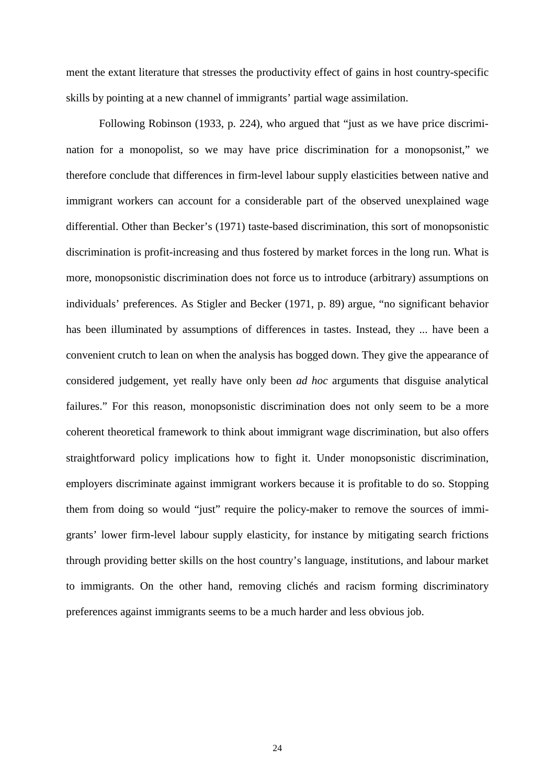ment the extant literature that stresses the productivity effect of gains in host country-specific skills by pointing at a new channel of immigrants' partial wage assimilation.

Following Robinson (1933, p. 224), who argued that "just as we have price discrimination for a monopolist, so we may have price discrimination for a monopsonist," we therefore conclude that differences in firm-level labour supply elasticities between native and immigrant workers can account for a considerable part of the observed unexplained wage differential. Other than Becker's (1971) taste-based discrimination, this sort of monopsonistic discrimination is profit-increasing and thus fostered by market forces in the long run. What is more, monopsonistic discrimination does not force us to introduce (arbitrary) assumptions on individuals' preferences. As Stigler and Becker (1971, p. 89) argue, "no significant behavior has been illuminated by assumptions of differences in tastes. Instead, they ... have been a convenient crutch to lean on when the analysis has bogged down. They give the appearance of considered judgement, yet really have only been *ad hoc* arguments that disguise analytical failures." For this reason, monopsonistic discrimination does not only seem to be a more coherent theoretical framework to think about immigrant wage discrimination, but also offers straightforward policy implications how to fight it. Under monopsonistic discrimination, employers discriminate against immigrant workers because it is profitable to do so. Stopping them from doing so would "just" require the policy-maker to remove the sources of immigrants' lower firm-level labour supply elasticity, for instance by mitigating search frictions through providing better skills on the host country's language, institutions, and labour market to immigrants. On the other hand, removing clichés and racism forming discriminatory preferences against immigrants seems to be a much harder and less obvious job.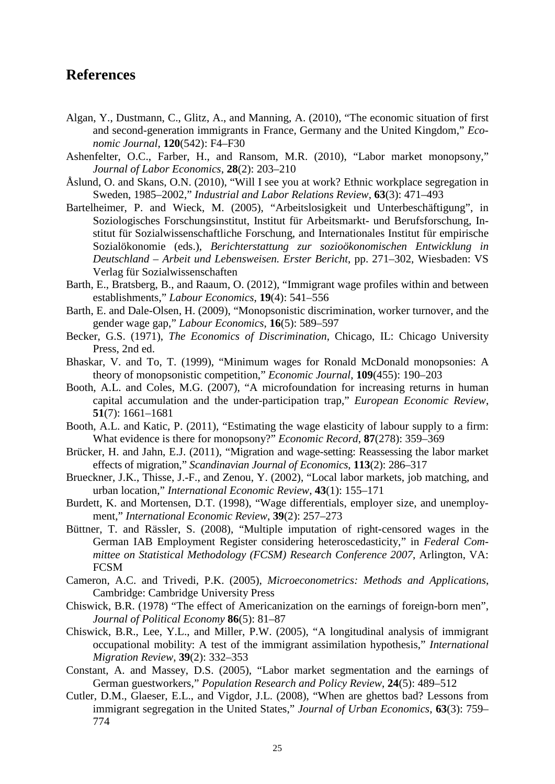## **References**

- Algan, Y., Dustmann, C., Glitz, A., and Manning, A. (2010), "The economic situation of first and second-generation immigrants in France, Germany and the United Kingdom," *Economic Journal*, **120**(542): F4–F30
- Ashenfelter, O.C., Farber, H., and Ransom, M.R. (2010), "Labor market monopsony," *Journal of Labor Economics*, **28**(2): 203–210
- Åslund, O. and Skans, O.N. (2010), "Will I see you at work? Ethnic workplace segregation in Sweden, 1985–2002," *Industrial and Labor Relations Review*, **63**(3): 471–493
- Bartelheimer, P. and Wieck, M. (2005), "Arbeitslosigkeit und Unterbeschäftigung", in Soziologisches Forschungsinstitut, Institut für Arbeitsmarkt- und Berufsforschung, Institut für Sozialwissenschaftliche Forschung, and Internationales Institut für empirische Sozialökonomie (eds.), *Berichterstattung zur sozioökonomischen Entwicklung in Deutschland – Arbeit und Lebensweisen. Erster Bericht*, pp. 271–302, Wiesbaden: VS Verlag für Sozialwissenschaften
- Barth, E., Bratsberg, B., and Raaum, O. (2012), "Immigrant wage profiles within and between establishments," *Labour Economics*, **19**(4): 541–556
- Barth, E. and Dale-Olsen, H. (2009), "Monopsonistic discrimination, worker turnover, and the gender wage gap," *Labour Economics*, **16**(5): 589–597
- Becker, G.S. (1971), *The Economics of Discrimination*, Chicago, IL: Chicago University Press, 2nd ed.
- Bhaskar, V. and To, T. (1999), "Minimum wages for Ronald McDonald monopsonies: A theory of monopsonistic competition," *Economic Journal*, **109**(455): 190–203
- Booth, A.L. and Coles, M.G. (2007), "A microfoundation for increasing returns in human capital accumulation and the under-participation trap," *European Economic Review*, **51**(7): 1661–1681
- Booth, A.L. and Katic, P. (2011), "Estimating the wage elasticity of labour supply to a firm: What evidence is there for monopsony?" *Economic Record*, **87**(278): 359–369
- Brücker, H. and Jahn, E.J. (2011), "Migration and wage-setting: Reassessing the labor market effects of migration," *Scandinavian Journal of Economics*, **113**(2): 286–317
- Brueckner, J.K., Thisse, J.-F., and Zenou, Y. (2002), "Local labor markets, job matching, and urban location," *International Economic Review*, **43**(1): 155–171
- Burdett, K. and Mortensen, D.T. (1998), "Wage differentials, employer size, and unemployment," *International Economic Review*, **39**(2): 257–273
- Büttner, T. and Rässler, S. (2008), "Multiple imputation of right-censored wages in the German IAB Employment Register considering heteroscedasticity," in *Federal Committee on Statistical Methodology (FCSM) Research Conference 2007*, Arlington, VA: **FCSM**
- Cameron, A.C. and Trivedi, P.K. (2005), *Microeconometrics: Methods and Applications*, Cambridge: Cambridge University Press
- Chiswick, B.R. (1978) "The effect of Americanization on the earnings of foreign-born men", *Journal of Political Economy* **86**(5): 81–87
- Chiswick, B.R., Lee, Y.L., and Miller, P.W. (2005), "A longitudinal analysis of immigrant occupational mobility: A test of the immigrant assimilation hypothesis," *International Migration Review*, **39**(2): 332–353
- Constant, A. and Massey, D.S. (2005), "Labor market segmentation and the earnings of German guestworkers," *Population Research and Policy Review*, **24**(5): 489–512
- Cutler, D.M., Glaeser, E.L., and Vigdor, J.L. (2008), "When are ghettos bad? Lessons from immigrant segregation in the United States," *Journal of Urban Economics*, **63**(3): 759– 774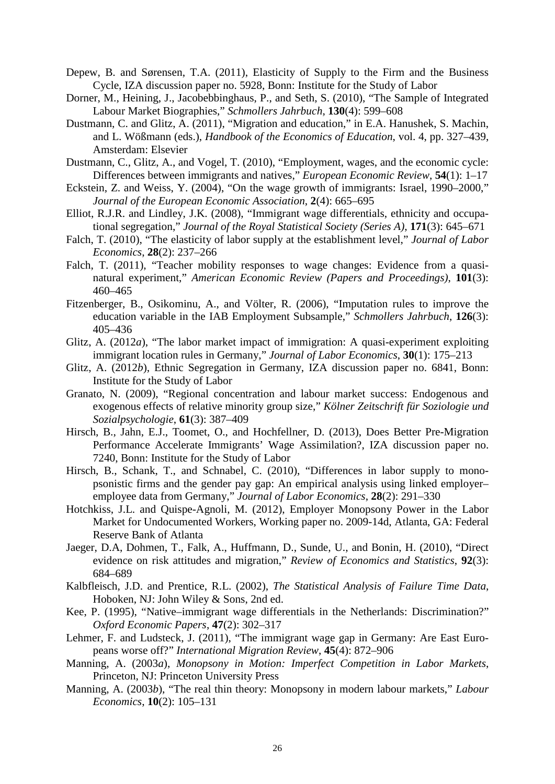- Depew, B. and Sørensen, T.A. (2011), Elasticity of Supply to the Firm and the Business Cycle, IZA discussion paper no. 5928, Bonn: Institute for the Study of Labor
- Dorner, M., Heining, J., Jacobebbinghaus, P., and Seth, S. (2010), "The Sample of Integrated Labour Market Biographies," *Schmollers Jahrbuch*, **130**(4): 599–608
- Dustmann, C. and Glitz, A. (2011), "Migration and education," in E.A. Hanushek, S. Machin, and L. Wößmann (eds.), *Handbook of the Economics of Education*, vol. 4, pp. 327–439, Amsterdam: Elsevier
- Dustmann, C., Glitz, A., and Vogel, T. (2010), "Employment, wages, and the economic cycle: Differences between immigrants and natives," *European Economic Review*, **54**(1): 1–17
- Eckstein, Z. and Weiss, Y. (2004), "On the wage growth of immigrants: Israel, 1990–2000," *Journal of the European Economic Association*, **2**(4): 665–695
- Elliot, R.J.R. and Lindley, J.K. (2008), "Immigrant wage differentials, ethnicity and occupational segregation," *Journal of the Royal Statistical Society (Series A)*, **171**(3): 645–671
- Falch, T. (2010), "The elasticity of labor supply at the establishment level," *Journal of Labor Economics*, **28**(2): 237–266
- Falch, T. (2011), "Teacher mobility responses to wage changes: Evidence from a quasinatural experiment," *American Economic Review (Papers and Proceedings)*, **101**(3): 460–465
- Fitzenberger, B., Osikominu, A., and Völter, R. (2006), "Imputation rules to improve the education variable in the IAB Employment Subsample," *Schmollers Jahrbuch*, **126**(3): 405–436
- Glitz, A. (2012*a*), "The labor market impact of immigration: A quasi-experiment exploiting immigrant location rules in Germany," *Journal of Labor Economics*, **30**(1): 175–213
- Glitz, A. (2012*b*), Ethnic Segregation in Germany, IZA discussion paper no. 6841, Bonn: Institute for the Study of Labor
- Granato, N. (2009), "Regional concentration and labour market success: Endogenous and exogenous effects of relative minority group size," *Kölner Zeitschrift für Soziologie und Sozialpsychologie*, **61**(3): 387–409
- Hirsch, B., Jahn, E.J., Toomet, O., and Hochfellner, D. (2013), Does Better Pre-Migration Performance Accelerate Immigrants' Wage Assimilation?, IZA discussion paper no. 7240, Bonn: Institute for the Study of Labor
- Hirsch, B., Schank, T., and Schnabel, C. (2010), "Differences in labor supply to monopsonistic firms and the gender pay gap: An empirical analysis using linked employer– employee data from Germany," *Journal of Labor Economics*, **28**(2): 291–330
- Hotchkiss, J.L. and Quispe-Agnoli, M. (2012), Employer Monopsony Power in the Labor Market for Undocumented Workers, Working paper no. 2009-14d, Atlanta, GA: Federal Reserve Bank of Atlanta
- Jaeger, D.A, Dohmen, T., Falk, A., Huffmann, D., Sunde, U., and Bonin, H. (2010), "Direct evidence on risk attitudes and migration," *Review of Economics and Statistics*, **92**(3): 684–689
- Kalbfleisch, J.D. and Prentice, R.L. (2002), *The Statistical Analysis of Failure Time Data*, Hoboken, NJ: John Wiley & Sons, 2nd ed.
- Kee, P. (1995), "Native–immigrant wage differentials in the Netherlands: Discrimination?" *Oxford Economic Papers*, **47**(2): 302–317
- Lehmer, F. and Ludsteck, J. (2011), "The immigrant wage gap in Germany: Are East Europeans worse off?" *International Migration Review*, **45**(4): 872–906
- Manning, A. (2003*a*), *Monopsony in Motion: Imperfect Competition in Labor Markets*, Princeton, NJ: Princeton University Press
- Manning, A. (2003*b*), "The real thin theory: Monopsony in modern labour markets," *Labour Economics*, **10**(2): 105–131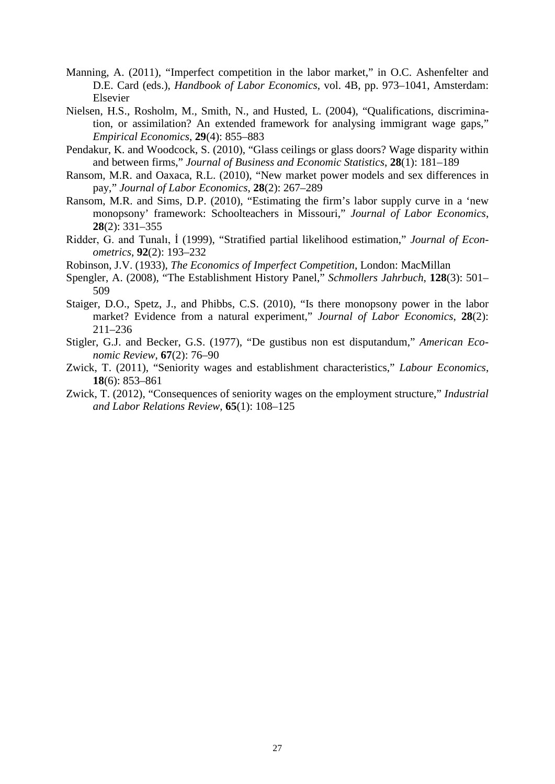- Manning, A. (2011), "Imperfect competition in the labor market," in O.C. Ashenfelter and D.E. Card (eds.), *Handbook of Labor Economics*, vol. 4B, pp. 973–1041, Amsterdam: Elsevier
- Nielsen, H.S., Rosholm, M., Smith, N., and Husted, L. (2004), "Qualifications, discrimination, or assimilation? An extended framework for analysing immigrant wage gaps," *Empirical Economics*, **29**(4): 855–883
- Pendakur, K. and Woodcock, S. (2010), "Glass ceilings or glass doors? Wage disparity within and between firms," *Journal of Business and Economic Statistics*, **28**(1): 181–189
- Ransom, M.R. and Oaxaca, R.L. (2010), "New market power models and sex differences in pay," *Journal of Labor Economics*, **28**(2): 267–289
- Ransom, M.R. and Sims, D.P. (2010), "Estimating the firm's labor supply curve in a 'new monopsony' framework: Schoolteachers in Missouri," *Journal of Labor Economics*, **28**(2): 331–355
- Ridder, G. and Tunalı, İ (1999), "Stratified partial likelihood estimation," *Journal of Econometrics*, **92**(2): 193–232
- Robinson, J.V. (1933), *The Economics of Imperfect Competition*, London: MacMillan
- Spengler, A. (2008), "The Establishment History Panel," *Schmollers Jahrbuch*, **128**(3): 501– 509
- Staiger, D.O., Spetz, J., and Phibbs, C.S. (2010), "Is there monopsony power in the labor market? Evidence from a natural experiment," *Journal of Labor Economics*, **28**(2): 211–236
- Stigler, G.J. and Becker, G.S. (1977), "De gustibus non est disputandum," *American Economic Review*, **67**(2): 76–90
- Zwick, T. (2011), "Seniority wages and establishment characteristics," *Labour Economics*, **18**(6): 853–861
- Zwick, T. (2012), "Consequences of seniority wages on the employment structure," *Industrial and Labor Relations Review*, **65**(1): 108–125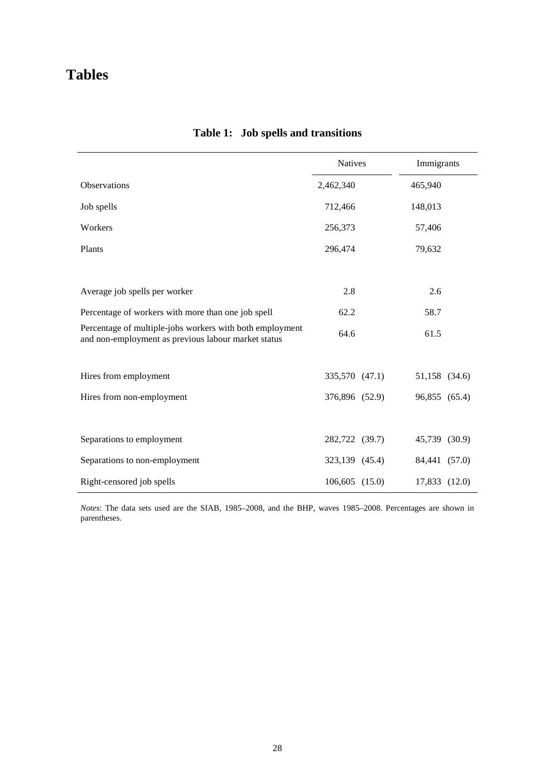# **Tables**

|                                                                                                                 | <b>Natives</b> |  | Immigrants    |  |
|-----------------------------------------------------------------------------------------------------------------|----------------|--|---------------|--|
| Observations                                                                                                    | 2,462,340      |  | 465,940       |  |
| Job spells                                                                                                      | 712,466        |  | 148,013       |  |
| Workers                                                                                                         | 256,373        |  | 57,406        |  |
| Plants                                                                                                          | 296,474        |  | 79,632        |  |
|                                                                                                                 |                |  |               |  |
| Average job spells per worker                                                                                   | 2.8            |  | 2.6           |  |
| Percentage of workers with more than one job spell                                                              | 62.2           |  | 58.7          |  |
| Percentage of multiple-jobs workers with both employment<br>and non-employment as previous labour market status | 64.6           |  | 61.5          |  |
|                                                                                                                 |                |  |               |  |
| Hires from employment                                                                                           | 335,570 (47.1) |  | 51,158 (34.6) |  |
| Hires from non-employment                                                                                       | 376,896 (52.9) |  | 96,855 (65.4) |  |
|                                                                                                                 |                |  |               |  |
| Separations to employment                                                                                       | 282,722 (39.7) |  | 45,739 (30.9) |  |
| Separations to non-employment                                                                                   | 323,139 (45.4) |  | 84,441 (57.0) |  |
| Right-censored job spells                                                                                       | 106,605 (15.0) |  | 17,833 (12.0) |  |

# **Table 1: Job spells and transitions**

*Notes*: The data sets used are the SIAB, 1985–2008, and the BHP, waves 1985–2008. Percentages are shown in parentheses.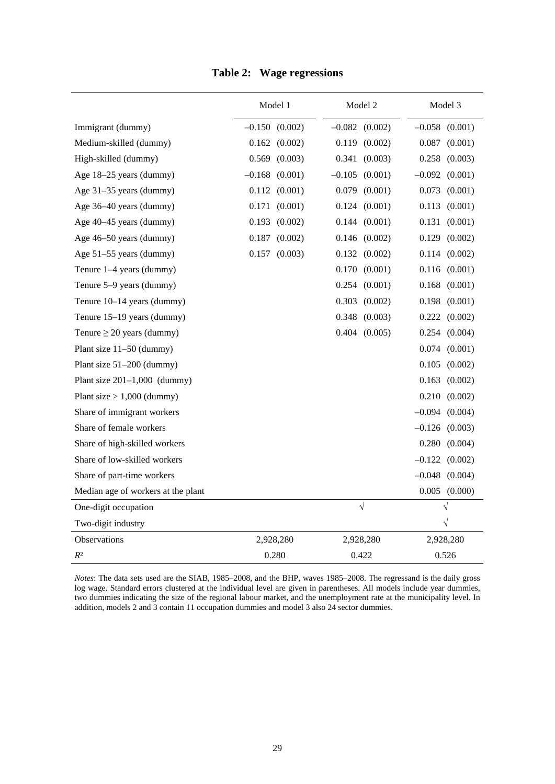|                                    | Model 1             | Model 2             | Model 3             |  |
|------------------------------------|---------------------|---------------------|---------------------|--|
| Immigrant (dummy)                  | $-0.150$ $(0.002)$  | $-0.082$<br>(0.002) | $-0.058$ $(0.001)$  |  |
| Medium-skilled (dummy)             | $0.162$ $(0.002)$   | 0.119<br>(0.002)    | $0.087$ $(0.001)$   |  |
| High-skilled (dummy)               | (0.003)<br>0.569    | (0.003)<br>0.341    | 0.258<br>(0.003)    |  |
| Age 18-25 years (dummy)            | $-0.168$<br>(0.001) | $-0.105$<br>(0.001) | $-0.092$ $(0.001)$  |  |
| Age 31-35 years (dummy)            | 0.112<br>(0.001)    | 0.079<br>(0.001)    | 0.073<br>(0.001)    |  |
| Age 36-40 years (dummy)            | 0.171<br>(0.001)    | 0.124<br>(0.001)    | 0.113<br>(0.001)    |  |
| Age 40–45 years (dummy)            | (0.002)<br>0.193    | 0.144<br>(0.001)    | 0.131<br>(0.001)    |  |
| Age 46-50 years (dummy)            | (0.002)<br>0.187    | 0.146<br>(0.002)    | 0.129<br>(0.002)    |  |
| Age 51–55 years (dummy)            | 0.157<br>(0.003)    | 0.132<br>(0.002)    | 0.114<br>(0.002)    |  |
| Tenure 1-4 years (dummy)           |                     | 0.170<br>(0.001)    | (0.001)<br>0.116    |  |
| Tenure 5–9 years (dummy)           |                     | 0.254<br>(0.001)    | 0.168<br>(0.001)    |  |
| Tenure 10-14 years (dummy)         |                     | 0.303<br>(0.002)    | (0.001)<br>0.198    |  |
| Tenure 15-19 years (dummy)         |                     | (0.003)<br>0.348    | 0.222<br>(0.002)    |  |
| Tenure $\geq 20$ years (dummy)     |                     | 0.404<br>(0.005)    | 0.254<br>(0.004)    |  |
| Plant size 11-50 (dummy)           |                     |                     | 0.074<br>(0.001)    |  |
| Plant size $51-200$ (dummy)        |                     |                     | 0.105<br>(0.002)    |  |
| Plant size $201-1,000$ (dummy)     |                     |                     | 0.163<br>(0.002)    |  |
| Plant size $> 1,000$ (dummy)       |                     |                     | $0.210$ $(0.002)$   |  |
| Share of immigrant workers         |                     |                     | $-0.094$ $(0.004)$  |  |
| Share of female workers            |                     |                     | $-0.126$ (0.003)    |  |
| Share of high-skilled workers      |                     |                     | 0.280<br>(0.004)    |  |
| Share of low-skilled workers       |                     |                     | $-0.122$ $(0.002)$  |  |
| Share of part-time workers         |                     |                     | $-0.048$<br>(0.004) |  |
| Median age of workers at the plant |                     |                     | 0.005<br>(0.000)    |  |
| One-digit occupation               |                     | $\sqrt{ }$          | $\sqrt{}$           |  |
| Two-digit industry                 |                     |                     | $\sqrt{}$           |  |
| Observations                       | 2,928,280           | 2,928,280           | 2,928,280           |  |
| $\mathbb{R}^2$                     | 0.280               | 0.422               | 0.526               |  |

## **Table 2: Wage regressions**

*Notes*: The data sets used are the SIAB, 1985–2008, and the BHP, waves 1985–2008. The regressand is the daily gross log wage. Standard errors clustered at the individual level are given in parentheses. All models include year dummies, two dummies indicating the size of the regional labour market, and the unemployment rate at the municipality level. In addition, models 2 and 3 contain 11 occupation dummies and model 3 also 24 sector dummies.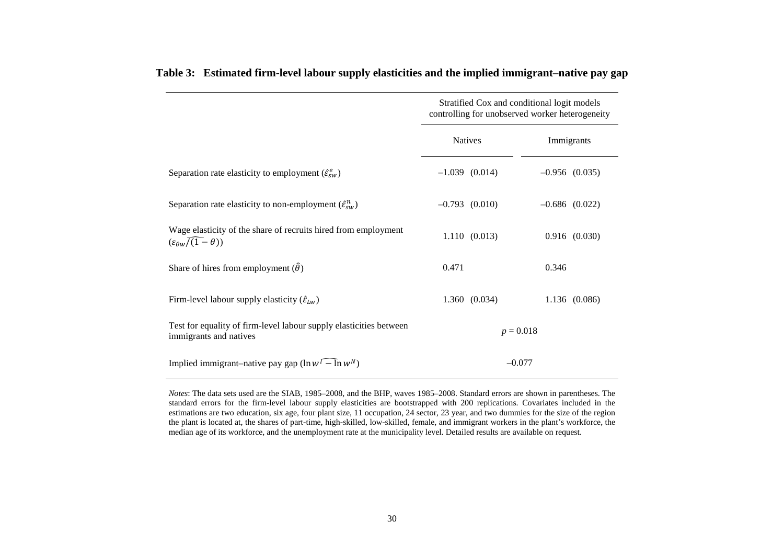|                                                                                                         | Stratified Cox and conditional logit models<br>controlling for unobserved worker heterogeneity |                    |  |  |
|---------------------------------------------------------------------------------------------------------|------------------------------------------------------------------------------------------------|--------------------|--|--|
|                                                                                                         | <b>Natives</b>                                                                                 | Immigrants         |  |  |
| Separation rate elasticity to employment $(\hat{\varepsilon}_{sw}^e)$                                   | $-1.039$ $(0.014)$                                                                             | $-0.956$ (0.035)   |  |  |
| Separation rate elasticity to non-employment $(\hat{\varepsilon}_{sw}^n)$                               | $-0.793$ $(0.010)$                                                                             | $-0.686$ $(0.022)$ |  |  |
| Wage elasticity of the share of recruits hired from employment<br>$(\varepsilon_{\theta w}/(1-\theta))$ | 1.110(0.013)                                                                                   | $0.916$ $(0.030)$  |  |  |
| Share of hires from employment $(\hat{\theta})$                                                         | 0.471                                                                                          | 0.346              |  |  |
| Firm-level labour supply elasticity $(\hat{\varepsilon}_{Lw})$                                          | 1.360(0.034)                                                                                   | 1.136 (0.086)      |  |  |
| Test for equality of firm-level labour supply elasticities between<br>immigrants and natives            | $p = 0.018$                                                                                    |                    |  |  |
| Implied immigrant–native pay gap $(\ln w^{\Gamma} - \ln w^N)$                                           | $-0.077$                                                                                       |                    |  |  |

#### **Table 3: Estimated firm-level labour supply elasticities and the implied immigrant–native pay gap**

*Notes*: The data sets used are the SIAB, 1985–2008, and the BHP, waves 1985–2008. Standard errors are shown in parentheses. The standard errors for the firm-level labour supply elasticities are bootstrapped with 200 replications. Covariates included in the estimations are two education, six age, four plant size, 11 occupation, 24 sector, 23 year, and two dummies for the size of the region the plant is located at, the shares of part-time, high-skilled, low-skilled, female, and immigrant workers in the plant's workforce, the median age of its workforce, and the unemployment rate at the municipality level. Detailed results are available on request.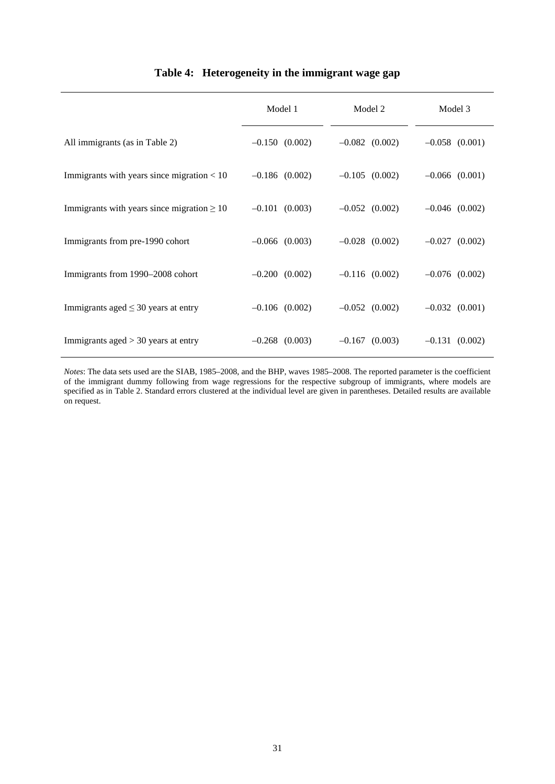|  | Table 4: Heterogeneity in the immigrant wage gap |  |  |
|--|--------------------------------------------------|--|--|
|--|--------------------------------------------------|--|--|

|                                                 | Model 1            | Model 2            | Model 3            |  |
|-------------------------------------------------|--------------------|--------------------|--------------------|--|
| All immigrants (as in Table 2)                  | $-0.150$ $(0.002)$ | $-0.082$ (0.002)   | $-0.058$ $(0.001)$ |  |
| Immigrants with years since migration $< 10$    | $-0.186$ (0.002)   | $-0.105$ (0.002)   | $-0.066$ $(0.001)$ |  |
| Immigrants with years since migration $\geq 10$ | $-0.101$ $(0.003)$ | $-0.052$ (0.002)   | $-0.046$ $(0.002)$ |  |
| Immigrants from pre-1990 cohort                 | $-0.066$ $(0.003)$ | $-0.028$ $(0.002)$ | $-0.027$ $(0.002)$ |  |
| Immigrants from 1990–2008 cohort                | $-0.200$ $(0.002)$ | $-0.116$ (0.002)   | $-0.076$ $(0.002)$ |  |
| Immigrants aged $\leq$ 30 years at entry        | $-0.106$ $(0.002)$ | $-0.052$ (0.002)   | $-0.032$ $(0.001)$ |  |
| Immigrants aged $>$ 30 years at entry           | $-0.268$ (0.003)   | $-0.167$ (0.003)   | $-0.131(0.002)$    |  |

*Notes*: The data sets used are the SIAB, 1985–2008, and the BHP, waves 1985–2008. The reported parameter is the coefficient of the immigrant dummy following from wage regressions for the respective subgroup of immigrants, where models are specified as in Table 2. Standard errors clustered at the individual level are given in parentheses. Detailed results are available on request.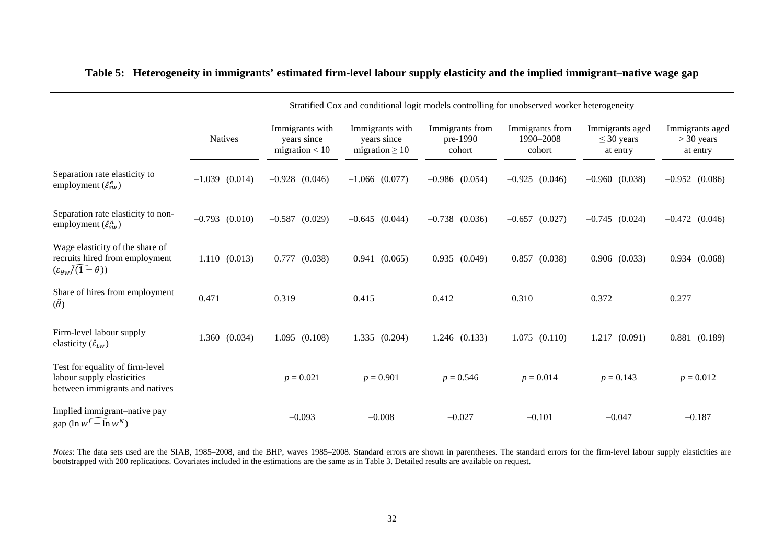|                                                                                                            | Stratified Cox and conditional logit models controlling for unobserved worker heterogeneity |                                                    |                                                       |                                       |                                        |                                                |                                             |
|------------------------------------------------------------------------------------------------------------|---------------------------------------------------------------------------------------------|----------------------------------------------------|-------------------------------------------------------|---------------------------------------|----------------------------------------|------------------------------------------------|---------------------------------------------|
|                                                                                                            | <b>Natives</b>                                                                              | Immigrants with<br>years since<br>migration $< 10$ | Immigrants with<br>years since<br>migration $\geq 10$ | Immigrants from<br>pre-1990<br>cohort | Immigrants from<br>1990-2008<br>cohort | Immigrants aged<br>$\leq$ 30 years<br>at entry | Immigrants aged<br>$>$ 30 years<br>at entry |
| Separation rate elasticity to<br>employment $(\hat{\varepsilon}_{sw}^e)$                                   | $-1.039$ (0.014)                                                                            | $-0.928$ $(0.046)$                                 | $-1.066$ (0.077)                                      | $-0.986$ (0.054)                      | $-0.925$ (0.046)                       | $-0.960$ $(0.038)$                             | $-0.952$ (0.086)                            |
| Separation rate elasticity to non-<br>employment $(\hat{\varepsilon}_{sw}^n)$                              | $-0.793$ $(0.010)$                                                                          | $-0.587$ (0.029)                                   | $-0.645$ (0.044)                                      | $-0.738$ $(0.036)$                    | $-0.657$ $(0.027)$                     | $-0.745$ (0.024)                               | $-0.472$ (0.046)                            |
| Wage elasticity of the share of<br>recruits hired from employment<br>$(\varepsilon_{\theta w}/(1-\theta))$ | 1.110(0.013)                                                                                | $0.777$ $(0.038)$                                  | 0.941(0.065)                                          | $0.935$ $(0.049)$                     | $0.857$ $(0.038)$                      | $0.906$ $(0.033)$                              | $0.934$ $(0.068)$                           |
| Share of hires from employment<br>$(\hat{\theta})$                                                         | 0.471                                                                                       | 0.319                                              | 0.415                                                 | 0.412                                 | 0.310                                  | 0.372                                          | 0.277                                       |
| Firm-level labour supply<br>elasticity $(\hat{\varepsilon}_{Lw})$                                          | 1.360<br>(0.034)                                                                            | 1.095(0.108)                                       | 1.335 (0.204)                                         | 1.246 (0.133)                         | $1.075$ $(0.110)$                      | 1.217<br>(0.091)                               | $0.881$ $(0.189)$                           |
| Test for equality of firm-level<br>labour supply elasticities<br>between immigrants and natives            |                                                                                             | $p = 0.021$                                        | $p = 0.901$                                           | $p = 0.546$                           | $p = 0.014$                            | $p = 0.143$                                    | $p = 0.012$                                 |
| Implied immigrant-native pay<br>gap ( $\ln w^{\prime}$ – $\ln w^N$ )                                       |                                                                                             | $-0.093$                                           | $-0.008$                                              | $-0.027$                              | $-0.101$                               | $-0.047$                                       | $-0.187$                                    |

#### **Table 5: Heterogeneity in immigrants' estimated firm-level labour supply elasticity and the implied immigrant–native wage gap**

*Notes*: The data sets used are the SIAB, 1985–2008, and the BHP, waves 1985–2008. Standard errors are shown in parentheses. The standard errors for the firm-level labour supply elasticities are bootstrapped with 200 replications. Covariates included in the estimations are the same as in Table 3. Detailed results are available on request.